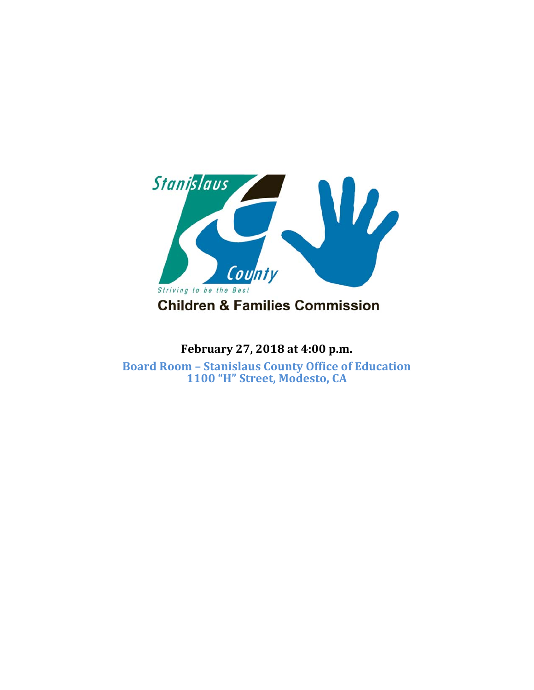

## **February 27, 2018 at 4:00 p.m.**

**Board Room – Stanislaus County Office of Education 1100 "H" Street, Modesto, CA**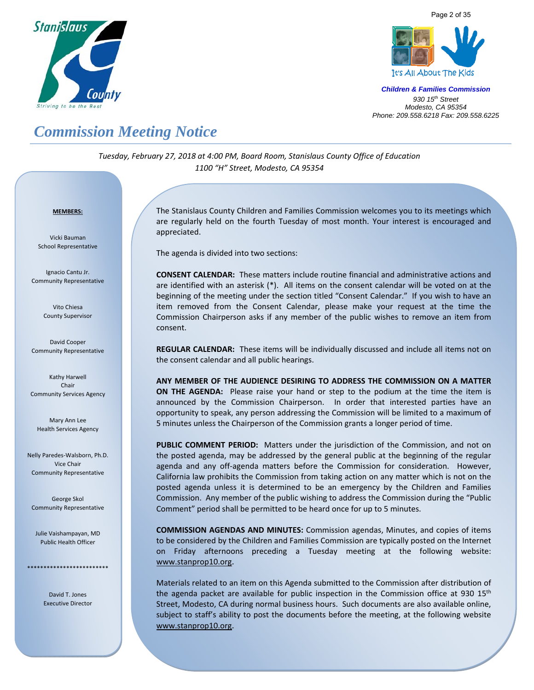





## *Commission Meeting Notice*

*Tuesday, February 27, 2018 at 4:00 PM, Board Room, Stanislaus County Office of Education 1100 "H" Street, Modesto, CA 95354*

#### <sup>U</sup>**MEMBERS:**

Vicki Bauman School Representative

Ignacio Cantu Jr. Community Representative

> Vito Chiesa County Supervisor

David Cooper Community Representative

Kathy Harwell Chair Community Services Agency

Mary Ann Lee Health Services Agency

Nelly Paredes‐Walsborn, Ph.D. Vice Chair Community Representative

George Skol Community Representative

Julie Vaishampayan, MD Public Health Officer

\*\*\*\*\*\*\*\*\*\*\*\*\*\*\*\*\*\*\*\*\*\*\*\*\*

David T. Jones Executive Director

 $\overline{a}$ 

The Stanislaus County Children and Families Commission welcomes you to its meetings which are regularly held on the fourth Tuesday of most month. Your interest is encouraged and appreciated.

The agenda is divided into two sections:

**CONSENT CALENDAR:** These matters include routine financial and administrative actions and are identified with an asterisk (\*). All items on the consent calendar will be voted on at the beginning of the meeting under the section titled "Consent Calendar." If you wish to have an item removed from the Consent Calendar, please make your request at the time the Commission Chairperson asks if any member of the public wishes to remove an item from consent.

**REGULAR CALENDAR:** These items will be individually discussed and include all items not on the consent calendar and all public hearings.

**ANY MEMBER OF THE AUDIENCE DESIRING TO ADDRESS THE COMMISSION ON A MATTER ON THE AGENDA:** Please raise your hand or step to the podium at the time the item is announced by the Commission Chairperson. In order that interested parties have an opportunity to speak, any person addressing the Commission will be limited to a maximum of 5 minutes unless the Chairperson of the Commission grants a longer period of time.

PUBLIC COMMENT PERIOD: Matters under the jurisdiction of the Commission, and not on the posted agenda, may be addressed by the general public at the beginning of the regular agenda and any off-agenda matters before the Commission for consideration. However, California law prohibits the Commission from taking action on any matter which is not on the posted agenda unless it is determined to be an emergency by the Children and Families Commission. Any member of the public wishing to address the Commission during the "Public Comment" period shall be permitted to be heard once for up to 5 minutes.

**COMMISSION AGENDAS AND MINUTES:** Commission agendas, Minutes, and copies of items to be considered by the Children and Families Commission are typically posted on the Internet on Friday afternoons preceding a Tuesday meeting at the following website: www.stanprop10.org.

Materials related to an item on this Agenda submitted to the Commission after distribution of the agenda packet are available for public inspection in the Commission office at 930  $15<sup>th</sup>$ Street, Modesto, CA during normal business hours. Such documents are also available online, subject to staff's ability to post the documents before the meeting, at the following website www.stanprop10.org.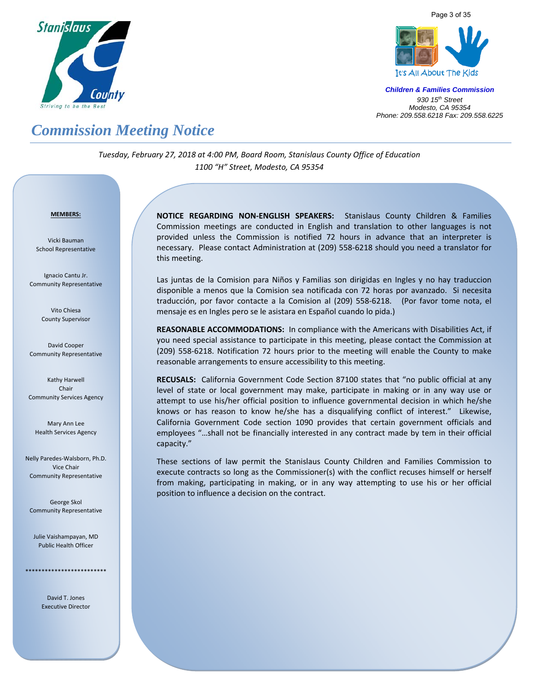





## *Commission Meeting Notice*

*Tuesday, February 27, 2018 at 4:00 PM, Board Room, Stanislaus County Office of Education 1100 "H" Street, Modesto, CA 95354*

#### <sup>U</sup>**MEMBERS:**

Vicki Bauman School Representative

Ignacio Cantu Jr. Community Representative

> Vito Chiesa County Supervisor

David Cooper Community Representative

Kathy Harwell Chair Community Services Agency

Mary Ann Lee Health Services Agency

Nelly Paredes‐Walsborn, Ph.D. Vice Chair Community Representative

George Skol Community Representative

Julie Vaishampayan, MD Public Health Officer

\*\*\*\*\*\*\*\*\*\*\*\*\*\*\*\*\*\*\*\*\*\*\*\*\*

David T. Jones Executive Director **NOTICE REGARDING NON‐ENGLISH SPEAKERS:** Stanislaus County Children & Families Commission meetings are conducted in English and translation to other languages is not provided unless the Commission is notified 72 hours in advance that an interpreter is necessary. Please contact Administration at (209) 558‐6218 should you need a translator for this meeting.

Las juntas de la Comision para Niños y Familias son dirigidas en Ingles y no hay traduccion disponible a menos que la Comision sea notificada con 72 horas por avanzado. Si necesita traducción, por favor contacte a la Comision al (209) 558-6218. (Por favor tome nota, el mensaje es en Ingles pero se le asistara en Español cuando lo pida.)

**REASONABLE ACCOMMODATIONS:** In compliance with the Americans with Disabilities Act, if you need special assistance to participate in this meeting, please contact the Commission at (209) 558-6218. Notification 72 hours prior to the meeting will enable the County to make reasonable arrangements to ensure accessibility to this meeting.

**RECUSALS:** California Government Code Section 87100 states that "no public official at any level of state or local government may make, participate in making or in any way use or attempt to use his/her official position to influence governmental decision in which he/she knows or has reason to know he/she has a disqualifying conflict of interest." Likewise, California Government Code section 1090 provides that certain government officials and employees "…shall not be financially interested in any contract made by tem in their official capacity."

These sections of law permit the Stanislaus County Children and Families Commission to execute contracts so long as the Commissioner(s) with the conflict recuses himself or herself from making, participating in making, or in any way attempting to use his or her official position to influence a decision on the contract.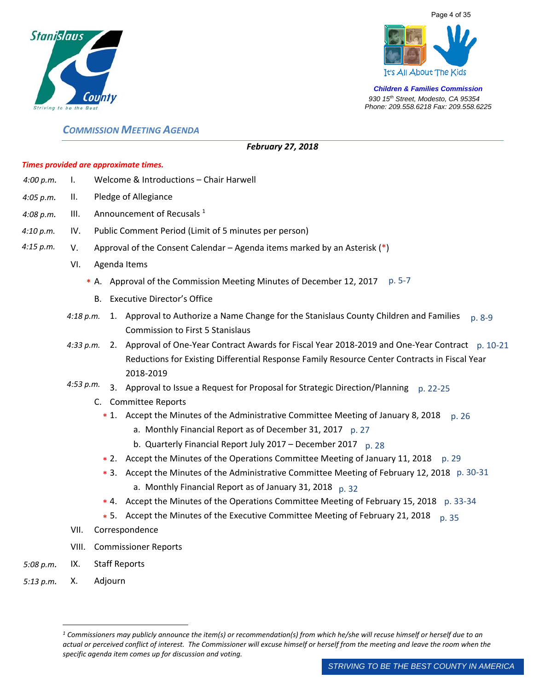





## *COMMISSION MEETING AGENDA*

## *February 27, 2018*

## *Times provided are approximate times.*

- *4:00 p.m. 4:10 p.m. 4:15 p.m. 4:08 p.m. 4:05 p.m.*  4:18 p.m. 1. Approval to Authorize a Name Change for the Stanislaus County Children and Families p. 8-9 *4:33 p.m.*  2. Approval of One‐Year Contract Awards for Fiscal Year 2018‐2019 and One‐Year Contract p. 10‐21 *4:53 p.m.*  I. Welcome & Introductions – Chair Harwell II. Pledge of Allegiance III. Announcement of Recusals  $1$ IV. Public Comment Period (Limit of 5 minutes per person) V. Approval of the Consent Calendar – Agenda items marked by an Asterisk  $(*)$ VI. Agenda Items \* A. Approval of the Commission Meeting Minutes of December 12, 2017 p. 5-7 B. Executive Director's Office Commission to First 5 Stanislaus Reductions for Existing Differential Response Family Resource Center Contracts in Fiscal Year 2018‐2019 3. Approval to Issue a Request for Proposal for Strategic Direction/Planning p. 22-25 C. Committee Reports \* 1. Accept the Minutes of the Administrative Committee Meeting of January 8, 2018 p. 26 a. Monthly Financial Report as of December 31, 2017 p. 27 b. Quarterly Financial Report July 2017 – December 2017 p. 28 \* 2. Accept the Minutes of the Operations Committee Meeting of January 11, 2018 p. 29
	- \* 3. Accept the Minutes of the Administrative Committee Meeting of February 12, 2018 p. 30-31 a. Monthly Financial Report as of January 31, 2018 p. 32
	- \* 4. Accept the Minutes of the Operations Committee Meeting of February 15, 2018 p. 33-34
	- \* 5. Accept the Minutes of the Executive Committee Meeting of February 21, 2018 p. 35
	- VII. Correspondence
	- VIII. Commissioner Reports
- *5:08 p.m.*  IX. Staff Reports
- *5:13 p.m.* X. Adjourn

 $\overline{a}$ 

*<sup>1</sup> Commissioners may publicly announce the item(s) or recommendation(s) from which he/she will recuse himself or herself due to an actual or perceived conflict of interest. The Commissioner will excuse himself or herself from the meeting and leave the room when the specific agenda item comes up for discussion and voting.*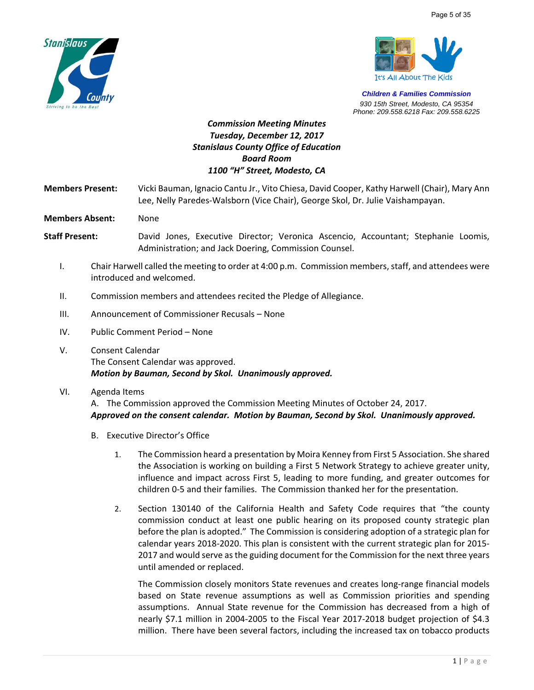



## *Commission Meeting Minutes Tuesday, December 12, 2017 Stanislaus County Office of Education Board Room 1100 "H" Street, Modesto, CA*

**Members Present:**  Vicki Bauman, Ignacio Cantu Jr., Vito Chiesa, David Cooper, Kathy Harwell (Chair), Mary Ann Lee, Nelly Paredes‐Walsborn (Vice Chair), George Skol, Dr. Julie Vaishampayan.

**Members Absent:** None

- **Staff Present:** David Jones, Executive Director; Veronica Ascencio, Accountant; Stephanie Loomis, Administration; and Jack Doering, Commission Counsel.
	- I. Chair Harwell called the meeting to order at 4:00 p.m. Commission members, staff, and attendees were introduced and welcomed.
	- II. Commission members and attendees recited the Pledge of Allegiance.
	- III. Announcement of Commissioner Recusals None
	- IV. Public Comment Period None
	- V. Consent Calendar The Consent Calendar was approved. *Motion by Bauman, Second by Skol. Unanimously approved.*
	- VI. Agenda Items

A. The Commission approved the Commission Meeting Minutes of October 24, 2017. *Approved on the consent calendar. Motion by Bauman, Second by Skol. Unanimously approved.* 

- B. Executive Director's Office
	- 1. The Commission heard a presentation by Moira Kenney from First 5 Association. She shared the Association is working on building a First 5 Network Strategy to achieve greater unity, influence and impact across First 5, leading to more funding, and greater outcomes for children 0‐5 and their families. The Commission thanked her for the presentation.
	- 2. Section 130140 of the California Health and Safety Code requires that "the county commission conduct at least one public hearing on its proposed county strategic plan before the plan is adopted." The Commission is considering adoption of a strategic plan for calendar years 2018‐2020. This plan is consistent with the current strategic plan for 2015‐ 2017 and would serve as the guiding document for the Commission for the next three years until amended or replaced.

The Commission closely monitors State revenues and creates long-range financial models based on State revenue assumptions as well as Commission priorities and spending assumptions. Annual State revenue for the Commission has decreased from a high of nearly \$7.1 million in 2004-2005 to the Fiscal Year 2017-2018 budget projection of \$4.3 million. There have been several factors, including the increased tax on tobacco products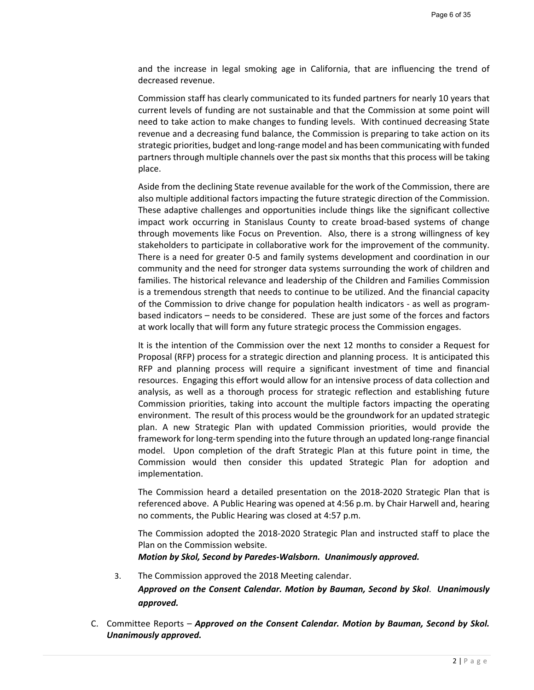and the increase in legal smoking age in California, that are influencing the trend of decreased revenue.

Commission staff has clearly communicated to its funded partners for nearly 10 years that current levels of funding are not sustainable and that the Commission at some point will need to take action to make changes to funding levels. With continued decreasing State revenue and a decreasing fund balance, the Commission is preparing to take action on its strategic priorities, budget and long‐range model and has been communicating with funded partners through multiple channels over the past six months that this process will be taking place.

Aside from the declining State revenue available for the work of the Commission, there are also multiple additional factors impacting the future strategic direction of the Commission. These adaptive challenges and opportunities include things like the significant collective impact work occurring in Stanislaus County to create broad-based systems of change through movements like Focus on Prevention. Also, there is a strong willingness of key stakeholders to participate in collaborative work for the improvement of the community. There is a need for greater 0‐5 and family systems development and coordination in our community and the need for stronger data systems surrounding the work of children and families. The historical relevance and leadership of the Children and Families Commission is a tremendous strength that needs to continue to be utilized. And the financial capacity of the Commission to drive change for population health indicators ‐ as well as program‐ based indicators – needs to be considered. These are just some of the forces and factors at work locally that will form any future strategic process the Commission engages.

It is the intention of the Commission over the next 12 months to consider a Request for Proposal (RFP) process for a strategic direction and planning process. It is anticipated this RFP and planning process will require a significant investment of time and financial resources. Engaging this effort would allow for an intensive process of data collection and analysis, as well as a thorough process for strategic reflection and establishing future Commission priorities, taking into account the multiple factors impacting the operating environment. The result of this process would be the groundwork for an updated strategic plan. A new Strategic Plan with updated Commission priorities, would provide the framework for long‐term spending into the future through an updated long‐range financial model. Upon completion of the draft Strategic Plan at this future point in time, the Commission would then consider this updated Strategic Plan for adoption and implementation.

The Commission heard a detailed presentation on the 2018‐2020 Strategic Plan that is referenced above. A Public Hearing was opened at 4:56 p.m. by Chair Harwell and, hearing no comments, the Public Hearing was closed at 4:57 p.m.

The Commission adopted the 2018‐2020 Strategic Plan and instructed staff to place the Plan on the Commission website.

*Motion by Skol, Second by Paredes‐Walsborn. Unanimously approved.* 

3. The Commission approved the 2018 Meeting calendar.

*Approved on the Consent Calendar. Motion by Bauman, Second by Skol*. *Unanimously approved.* 

C. Committee Reports – *Approved on the Consent Calendar. Motion by Bauman, Second by Skol. Unanimously approved.*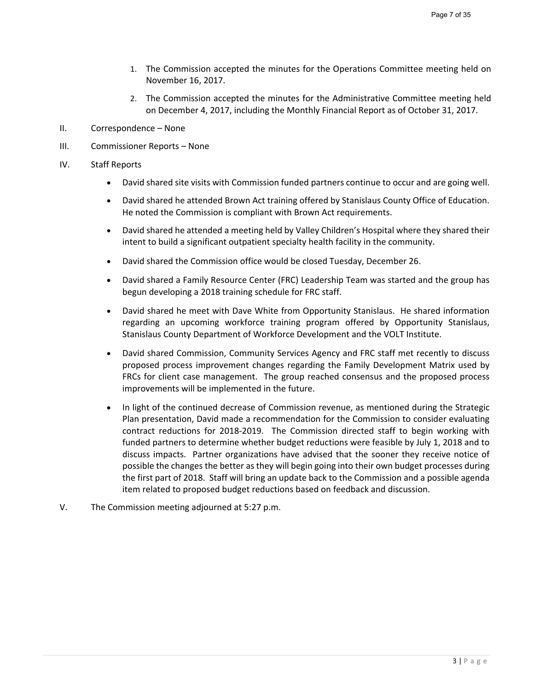- 1. The Commission accepted the minutes for the Operations Committee meeting held on November 16, 2017.
- 2. The Commission accepted the minutes for the Administrative Committee meeting held on December 4, 2017, including the Monthly Financial Report as of October 31, 2017.
- II. Correspondence None
- III. Commissioner Reports None
- IV. Staff Reports
	- David shared site visits with Commission funded partners continue to occur and are going well.
	- David shared he attended Brown Act training offered by Stanislaus County Office of Education. He noted the Commission is compliant with Brown Act requirements.
	- David shared he attended a meeting held by Valley Children's Hospital where they shared their intent to build a significant outpatient specialty health facility in the community.
	- David shared the Commission office would be closed Tuesday, December 26.
	- David shared a Family Resource Center (FRC) Leadership Team was started and the group has begun developing a 2018 training schedule for FRC staff.
	- David shared he meet with Dave White from Opportunity Stanislaus. He shared information regarding an upcoming workforce training program offered by Opportunity Stanislaus, Stanislaus County Department of Workforce Development and the VOLT Institute.
	- David shared Commission, Community Services Agency and FRC staff met recently to discuss proposed process improvement changes regarding the Family Development Matrix used by FRCs for client case management. The group reached consensus and the proposed process improvements will be implemented in the future.
	- In light of the continued decrease of Commission revenue, as mentioned during the Strategic Plan presentation, David made a recommendation for the Commission to consider evaluating contract reductions for 2018-2019. The Commission directed staff to begin working with funded partners to determine whether budget reductions were feasible by July 1, 2018 and to discuss impacts. Partner organizations have advised that the sooner they receive notice of possible the changes the better as they will begin going into their own budget processes during the first part of 2018. Staff will bring an update back to the Commission and a possible agenda item related to proposed budget reductions based on feedback and discussion.
- V. The Commission meeting adjourned at 5:27 p.m.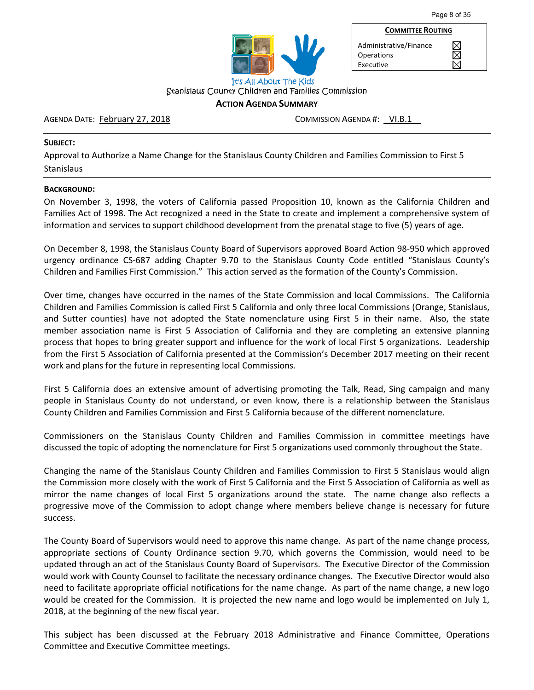



**COMMITTEE ROUTING** Administrative/Finance XXX **Operations** Executive

Stanislaus County Children and Families Commission

## **ACTION AGENDA SUMMARY**

## AGENDA DATE: February 27, 2018 COMMISSION AGENDA #: VI.B.1

## **SUBJECT:**

Approval to Authorize a Name Change for the Stanislaus County Children and Families Commission to First 5 Stanislaus

## **BACKGROUND:**

On November 3, 1998, the voters of California passed Proposition 10, known as the California Children and Families Act of 1998. The Act recognized a need in the State to create and implement a comprehensive system of information and services to support childhood development from the prenatal stage to five (5) years of age.

On December 8, 1998, the Stanislaus County Board of Supervisors approved Board Action 98‐950 which approved urgency ordinance CS-687 adding Chapter 9.70 to the Stanislaus County Code entitled "Stanislaus County's Children and Families First Commission." This action served as the formation of the County's Commission.

Over time, changes have occurred in the names of the State Commission and local Commissions. The California Children and Families Commission is called First 5 California and only three local Commissions (Orange, Stanislaus, and Sutter counties) have not adopted the State nomenclature using First 5 in their name. Also, the state member association name is First 5 Association of California and they are completing an extensive planning process that hopes to bring greater support and influence for the work of local First 5 organizations. Leadership from the First 5 Association of California presented at the Commission's December 2017 meeting on their recent work and plans for the future in representing local Commissions.

First 5 California does an extensive amount of advertising promoting the Talk, Read, Sing campaign and many people in Stanislaus County do not understand, or even know, there is a relationship between the Stanislaus County Children and Families Commission and First 5 California because of the different nomenclature.

Commissioners on the Stanislaus County Children and Families Commission in committee meetings have discussed the topic of adopting the nomenclature for First 5 organizations used commonly throughout the State.

Changing the name of the Stanislaus County Children and Families Commission to First 5 Stanislaus would align the Commission more closely with the work of First 5 California and the First 5 Association of California as well as mirror the name changes of local First 5 organizations around the state. The name change also reflects a progressive move of the Commission to adopt change where members believe change is necessary for future success.

The County Board of Supervisors would need to approve this name change. As part of the name change process, appropriate sections of County Ordinance section 9.70, which governs the Commission, would need to be updated through an act of the Stanislaus County Board of Supervisors. The Executive Director of the Commission would work with County Counsel to facilitate the necessary ordinance changes. The Executive Director would also need to facilitate appropriate official notifications for the name change. As part of the name change, a new logo would be created for the Commission. It is projected the new name and logo would be implemented on July 1, 2018, at the beginning of the new fiscal year.

This subject has been discussed at the February 2018 Administrative and Finance Committee, Operations Committee and Executive Committee meetings.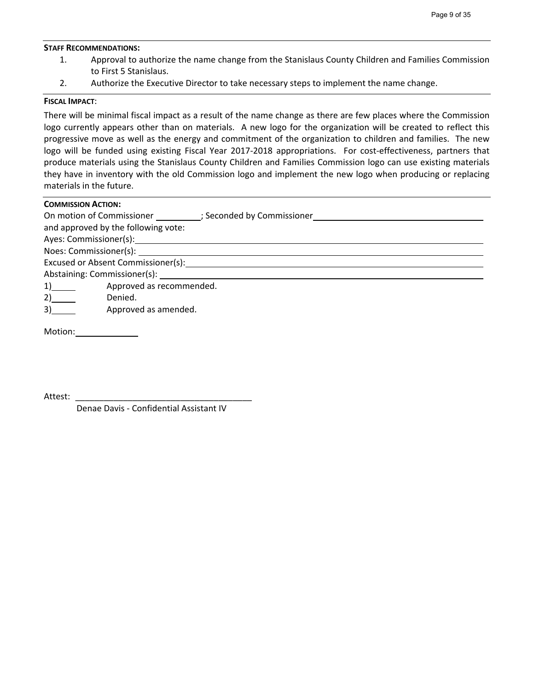#### **STAFF RECOMMENDATIONS:**

- 1. Approval to authorize the name change from the Stanislaus County Children and Families Commission to First 5 Stanislaus.
- 2. Authorize the Executive Director to take necessary steps to implement the name change.

## **FISCAL IMPACT**:

There will be minimal fiscal impact as a result of the name change as there are few places where the Commission logo currently appears other than on materials. A new logo for the organization will be created to reflect this progressive move as well as the energy and commitment of the organization to children and families. The new logo will be funded using existing Fiscal Year 2017-2018 appropriations. For cost-effectiveness, partners that produce materials using the Stanislaus County Children and Families Commission logo can use existing materials they have in inventory with the old Commission logo and implement the new logo when producing or replacing materials in the future.

| <b>COMMISSION ACTION:</b> |                                                            |  |  |  |
|---------------------------|------------------------------------------------------------|--|--|--|
|                           | On motion of Commissioner (3) (3) Seconded by Commissioner |  |  |  |
|                           | and approved by the following vote:                        |  |  |  |
|                           |                                                            |  |  |  |
|                           | Noes: Commissioner(s):                                     |  |  |  |
|                           | Excused or Absent Commissioner(s):                         |  |  |  |
|                           | Abstaining: Commissioner(s):                               |  |  |  |
| 1)                        | Approved as recommended.                                   |  |  |  |
| 2)                        | Denied.                                                    |  |  |  |
| 3)                        | Approved as amended.                                       |  |  |  |

Attest:

Denae Davis ‐ Confidential Assistant IV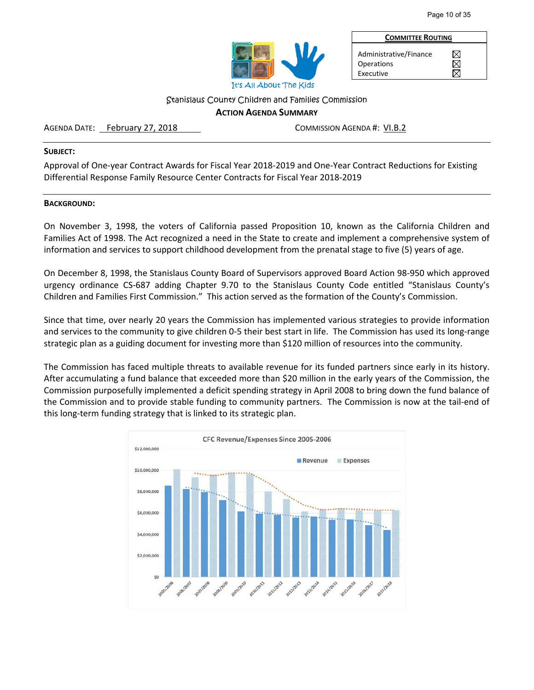

Administrative/Finance **Operations** Executive

**COMMITTEE ROUTING**

 $\boxtimes$ 岗 岗

Stanislaus County Children and Families Commission

## **ACTION AGENDA SUMMARY**

## AGENDA DATE: February 27, 2018 COMMISSION AGENDA #: VI.B.2

## **SUBJECT:**

Approval of One‐year Contract Awards for Fiscal Year 2018‐2019 and One‐Year Contract Reductions for Existing Differential Response Family Resource Center Contracts for Fiscal Year 2018‐2019

## **BACKGROUND:**

On November 3, 1998, the voters of California passed Proposition 10, known as the California Children and Families Act of 1998. The Act recognized a need in the State to create and implement a comprehensive system of information and services to support childhood development from the prenatal stage to five (5) years of age.

On December 8, 1998, the Stanislaus County Board of Supervisors approved Board Action 98‐950 which approved urgency ordinance CS‐687 adding Chapter 9.70 to the Stanislaus County Code entitled "Stanislaus County's Children and Families First Commission." This action served as the formation of the County's Commission.

Since that time, over nearly 20 years the Commission has implemented various strategies to provide information and services to the community to give children 0-5 their best start in life. The Commission has used its long-range strategic plan as a guiding document for investing more than \$120 million of resources into the community.

The Commission has faced multiple threats to available revenue for its funded partners since early in its history. After accumulating a fund balance that exceeded more than \$20 million in the early years of the Commission, the Commission purposefully implemented a deficit spending strategy in April 2008 to bring down the fund balance of the Commission and to provide stable funding to community partners. The Commission is now at the tail‐end of this long‐term funding strategy that is linked to its strategic plan.

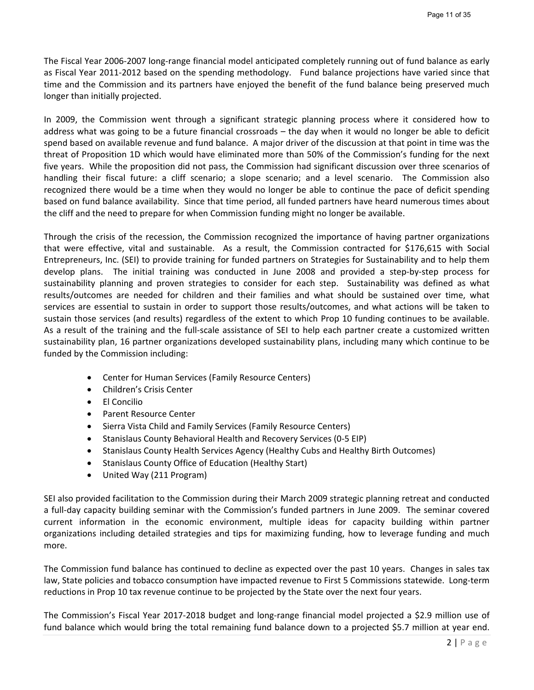The Fiscal Year 2006‐2007 long‐range financial model anticipated completely running out of fund balance as early as Fiscal Year 2011‐2012 based on the spending methodology. Fund balance projections have varied since that time and the Commission and its partners have enjoyed the benefit of the fund balance being preserved much longer than initially projected.

In 2009, the Commission went through a significant strategic planning process where it considered how to address what was going to be a future financial crossroads – the day when it would no longer be able to deficit spend based on available revenue and fund balance. A major driver of the discussion at that point in time was the threat of Proposition 1D which would have eliminated more than 50% of the Commission's funding for the next five years. While the proposition did not pass, the Commission had significant discussion over three scenarios of handling their fiscal future: a cliff scenario; a slope scenario; and a level scenario. The Commission also recognized there would be a time when they would no longer be able to continue the pace of deficit spending based on fund balance availability. Since that time period, all funded partners have heard numerous times about the cliff and the need to prepare for when Commission funding might no longer be available.

Through the crisis of the recession, the Commission recognized the importance of having partner organizations that were effective, vital and sustainable. As a result, the Commission contracted for \$176,615 with Social Entrepreneurs, Inc. (SEI) to provide training for funded partners on Strategies for Sustainability and to help them develop plans. The initial training was conducted in June 2008 and provided a step-by-step process for sustainability planning and proven strategies to consider for each step. Sustainability was defined as what results/outcomes are needed for children and their families and what should be sustained over time, what services are essential to sustain in order to support those results/outcomes, and what actions will be taken to sustain those services (and results) regardless of the extent to which Prop 10 funding continues to be available. As a result of the training and the full-scale assistance of SEI to help each partner create a customized written sustainability plan, 16 partner organizations developed sustainability plans, including many which continue to be funded by the Commission including:

- Center for Human Services (Family Resource Centers)
- Children's Crisis Center
- El Concilio
- Parent Resource Center
- Sierra Vista Child and Family Services (Family Resource Centers)
- Stanislaus County Behavioral Health and Recovery Services (0-5 EIP)
- Stanislaus County Health Services Agency (Healthy Cubs and Healthy Birth Outcomes)
- Stanislaus County Office of Education (Healthy Start)
- United Way (211 Program)

SEI also provided facilitation to the Commission during their March 2009 strategic planning retreat and conducted a full‐day capacity building seminar with the Commission's funded partners in June 2009. The seminar covered current information in the economic environment, multiple ideas for capacity building within partner organizations including detailed strategies and tips for maximizing funding, how to leverage funding and much more.

The Commission fund balance has continued to decline as expected over the past 10 years. Changes in sales tax law, State policies and tobacco consumption have impacted revenue to First 5 Commissions statewide. Long‐term reductions in Prop 10 tax revenue continue to be projected by the State over the next four years.

The Commission's Fiscal Year 2017‐2018 budget and long‐range financial model projected a \$2.9 million use of fund balance which would bring the total remaining fund balance down to a projected \$5.7 million at year end.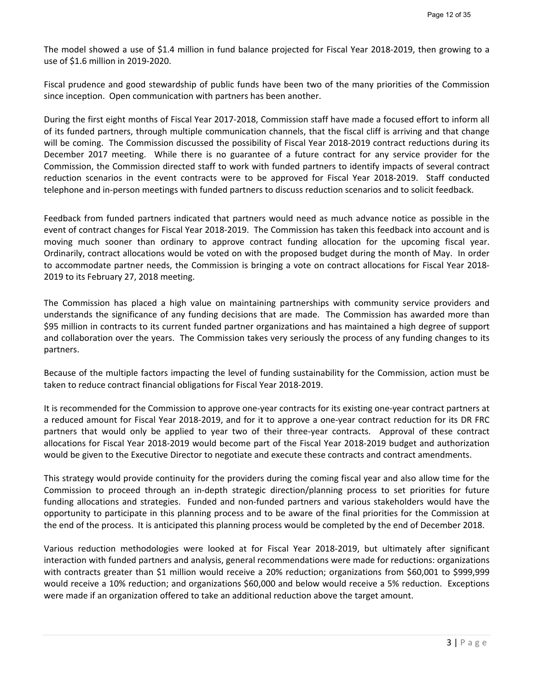The model showed a use of \$1.4 million in fund balance projected for Fiscal Year 2018‐2019, then growing to a use of \$1.6 million in 2019‐2020.

Fiscal prudence and good stewardship of public funds have been two of the many priorities of the Commission since inception. Open communication with partners has been another.

During the first eight months of Fiscal Year 2017‐2018, Commission staff have made a focused effort to inform all of its funded partners, through multiple communication channels, that the fiscal cliff is arriving and that change will be coming. The Commission discussed the possibility of Fiscal Year 2018-2019 contract reductions during its December 2017 meeting. While there is no guarantee of a future contract for any service provider for the Commission, the Commission directed staff to work with funded partners to identify impacts of several contract reduction scenarios in the event contracts were to be approved for Fiscal Year 2018-2019. Staff conducted telephone and in‐person meetings with funded partners to discuss reduction scenarios and to solicit feedback.

Feedback from funded partners indicated that partners would need as much advance notice as possible in the event of contract changes for Fiscal Year 2018‐2019. The Commission has taken this feedback into account and is moving much sooner than ordinary to approve contract funding allocation for the upcoming fiscal year. Ordinarily, contract allocations would be voted on with the proposed budget during the month of May. In order to accommodate partner needs, the Commission is bringing a vote on contract allocations for Fiscal Year 2018‐ 2019 to its February 27, 2018 meeting.

The Commission has placed a high value on maintaining partnerships with community service providers and understands the significance of any funding decisions that are made. The Commission has awarded more than \$95 million in contracts to its current funded partner organizations and has maintained a high degree of support and collaboration over the years. The Commission takes very seriously the process of any funding changes to its partners.

Because of the multiple factors impacting the level of funding sustainability for the Commission, action must be taken to reduce contract financial obligations for Fiscal Year 2018‐2019.

It is recommended for the Commission to approve one‐year contracts for its existing one‐year contract partners at a reduced amount for Fiscal Year 2018‐2019, and for it to approve a one‐year contract reduction for its DR FRC partners that would only be applied to year two of their three-year contracts. Approval of these contract allocations for Fiscal Year 2018‐2019 would become part of the Fiscal Year 2018‐2019 budget and authorization would be given to the Executive Director to negotiate and execute these contracts and contract amendments.

This strategy would provide continuity for the providers during the coming fiscal year and also allow time for the Commission to proceed through an in‐depth strategic direction/planning process to set priorities for future funding allocations and strategies. Funded and non-funded partners and various stakeholders would have the opportunity to participate in this planning process and to be aware of the final priorities for the Commission at the end of the process. It is anticipated this planning process would be completed by the end of December 2018.

Various reduction methodologies were looked at for Fiscal Year 2018‐2019, but ultimately after significant interaction with funded partners and analysis, general recommendations were made for reductions: organizations with contracts greater than \$1 million would receive a 20% reduction; organizations from \$60,001 to \$999,999 would receive a 10% reduction; and organizations \$60,000 and below would receive a 5% reduction. Exceptions were made if an organization offered to take an additional reduction above the target amount.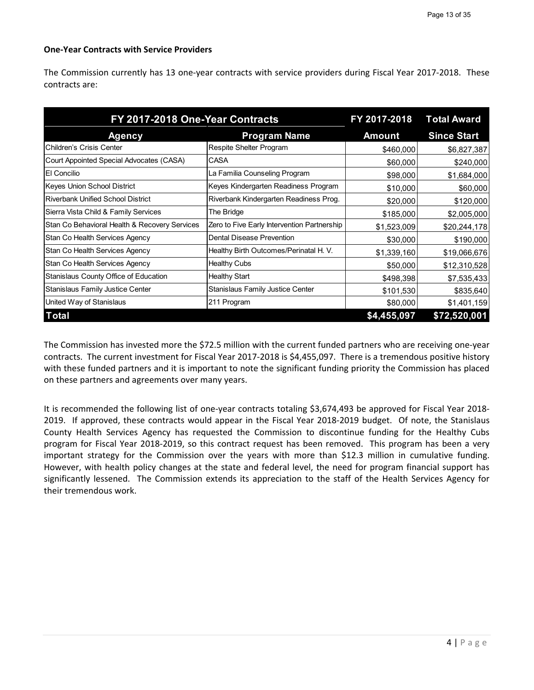## **One‐Year Contracts with Service Providers**

The Commission currently has 13 one‐year contracts with service providers during Fiscal Year 2017‐2018. These contracts are:

| FY 2017-2018 One-Year Contracts               |                                             | FY 2017-2018 | <b>Total Award</b> |  |
|-----------------------------------------------|---------------------------------------------|--------------|--------------------|--|
| <b>Agency</b>                                 | <b>Program Name</b>                         | Amount       | <b>Since Start</b> |  |
| <b>Children's Crisis Center</b>               | Respite Shelter Program                     | \$460,000    | \$6,827,387        |  |
| Court Appointed Special Advocates (CASA)      | CASA                                        | \$60,000     | \$240,000          |  |
| El Concilio                                   | La Familia Counseling Program               | \$98,000     | \$1,684,000        |  |
| Keyes Union School District                   | Keyes Kindergarten Readiness Program        | \$10,000     | \$60,000           |  |
| <b>Riverbank Unified School District</b>      | Riverbank Kindergarten Readiness Prog.      | \$20,000     | \$120,000          |  |
| Sierra Vista Child & Family Services          | The Bridge                                  | \$185,000    | \$2,005,000        |  |
| Stan Co Behavioral Health & Recovery Services | Zero to Five Early Intervention Partnership | \$1,523,009  | \$20,244,178       |  |
| Stan Co Health Services Agency                | Dental Disease Prevention                   | \$30,000     | \$190,000          |  |
| Stan Co Health Services Agency                | Healthy Birth Outcomes/Perinatal H. V.      | \$1,339,160  | \$19,066,676       |  |
| Stan Co Health Services Agency                | Healthy Cubs                                | \$50,000     | \$12,310,528       |  |
| Stanislaus County Office of Education         | <b>Healthy Start</b>                        | \$498,398    | \$7,535,433        |  |
| Stanislaus Family Justice Center              | Stanislaus Family Justice Center            | \$101,530    | \$835,640          |  |
| United Way of Stanislaus                      | 211 Program                                 | \$80,000     | \$1,401,159        |  |
| <b>Total</b>                                  |                                             | \$4,455,097  | \$72,520,001       |  |

The Commission has invested more the \$72.5 million with the current funded partners who are receiving one‐year contracts. The current investment for Fiscal Year 2017‐2018 is \$4,455,097. There is a tremendous positive history with these funded partners and it is important to note the significant funding priority the Commission has placed on these partners and agreements over many years.

It is recommended the following list of one-year contracts totaling \$3,674,493 be approved for Fiscal Year 2018-2019. If approved, these contracts would appear in the Fiscal Year 2018‐2019 budget. Of note, the Stanislaus County Health Services Agency has requested the Commission to discontinue funding for the Healthy Cubs program for Fiscal Year 2018‐2019, so this contract request has been removed. This program has been a very important strategy for the Commission over the years with more than \$12.3 million in cumulative funding. However, with health policy changes at the state and federal level, the need for program financial support has significantly lessened. The Commission extends its appreciation to the staff of the Health Services Agency for their tremendous work.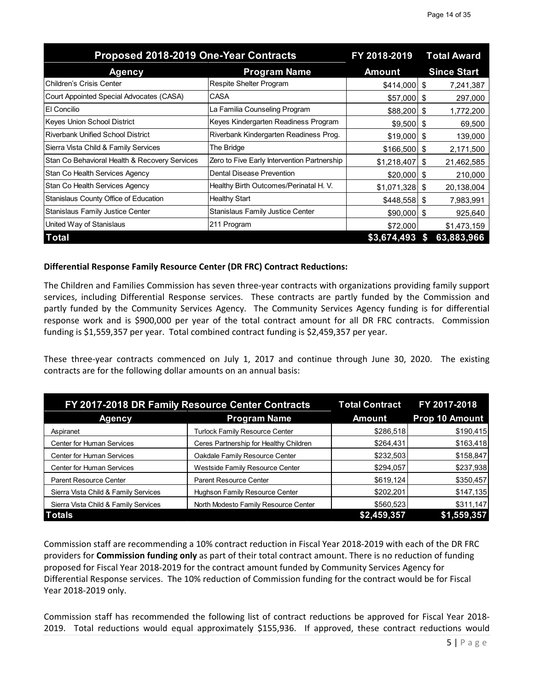| Proposed 2018-2019 One-Year Contracts         |                                             | FY 2018-2019    | <b>Total Award</b> |
|-----------------------------------------------|---------------------------------------------|-----------------|--------------------|
| <b>Agency</b>                                 | <b>Program Name</b>                         | <b>Amount</b>   | <b>Since Start</b> |
| lChildren's Crisis Center                     | Respite Shelter Program                     | \$414,000       | 7,241,387<br>S     |
| Court Appointed Special Advocates (CASA)      | <b>CASA</b>                                 | \$57,000        | 297,000<br>S       |
| <b>El Concilio</b>                            | La Familia Counseling Program               | \$88,200        | 1,772,200<br>S     |
| Keyes Union School District                   | Keyes Kindergarten Readiness Program        | $$9,500$ \ \$   | 69,500             |
| <b>Riverbank Unified School District</b>      | Riverbank Kindergarten Readiness Prog.      | \$19,000        | 139,000<br>S       |
| Sierra Vista Child & Family Services          | The Bridge                                  | \$166,500       | 2,171,500<br>S.    |
| Stan Co Behavioral Health & Recovery Services | Zero to Five Early Intervention Partnership | \$1,218,407     | 21,462,585<br>\$   |
| Stan Co Health Services Agency                | <b>Dental Disease Prevention</b>            | \$20,000        | 210,000<br>S       |
| Stan Co Health Services Agency                | Healthy Birth Outcomes/Perinatal H. V.      | \$1,071,328     | 20,138,004<br>S    |
| Stanislaus County Office of Education         | <b>Healthy Start</b>                        | $$448,558$ \ \$ | 7,983,991          |
| <b>Stanislaus Family Justice Center</b>       | <b>Stanislaus Family Justice Center</b>     | $$90,000$ \$    | 925,640            |
| United Way of Stanislaus                      | 211 Program                                 | \$72,000        | \$1,473,159        |
| <b>Total</b>                                  |                                             | \$3,674,493     | 63,883,966         |

## **Differential Response Family Resource Center (DR FRC) Contract Reductions:**

The Children and Families Commission has seven three‐year contracts with organizations providing family support services, including Differential Response services. These contracts are partly funded by the Commission and partly funded by the Community Services Agency. The Community Services Agency funding is for differential response work and is \$900,000 per year of the total contract amount for all DR FRC contracts. Commission funding is \$1,559,357 per year. Total combined contract funding is \$2,459,357 per year.

These three-year contracts commenced on July 1, 2017 and continue through June 30, 2020. The existing contracts are for the following dollar amounts on an annual basis:

| FY 2017-2018 DR Family Resource Center Contracts | <b>Total Contract</b>                  | FY 2017-2018  |                |
|--------------------------------------------------|----------------------------------------|---------------|----------------|
| <b>Agency</b>                                    | <b>Program Name</b>                    | <b>Amount</b> | Prop 10 Amount |
| Aspiranet                                        | <b>Turlock Family Resource Center</b>  | \$286,518     | \$190,415      |
| <b>Center for Human Services</b>                 | Ceres Partnership for Healthy Children | \$264,431     | \$163,418      |
| Center for Human Services                        | Oakdale Family Resource Center         | \$232,503     | \$158,847      |
| <b>Center for Human Services</b>                 | Westside Family Resource Center        | \$294,057     | \$237,938      |
| <b>Parent Resource Center</b>                    | <b>Parent Resource Center</b>          | \$619,124     | \$350,457      |
| Sierra Vista Child & Family Services             | Hughson Family Resource Center         | \$202,201     | \$147,135      |
| Sierra Vista Child & Family Services             | North Modesto Family Resource Center   | \$560,523     | \$311,147      |
| <b>Totals</b>                                    |                                        | \$2,459,357   | \$1,559,357    |

Commission staff are recommending a 10% contract reduction in Fiscal Year 2018‐2019 with each of the DR FRC providers for **Commission funding only** as part of their total contract amount. There is no reduction of funding proposed for Fiscal Year 2018‐2019 for the contract amount funded by Community Services Agency for Differential Response services. The 10% reduction of Commission funding for the contract would be for Fiscal Year 2018‐2019 only.

Commission staff has recommended the following list of contract reductions be approved for Fiscal Year 2018‐ 2019. Total reductions would equal approximately \$155,936. If approved, these contract reductions would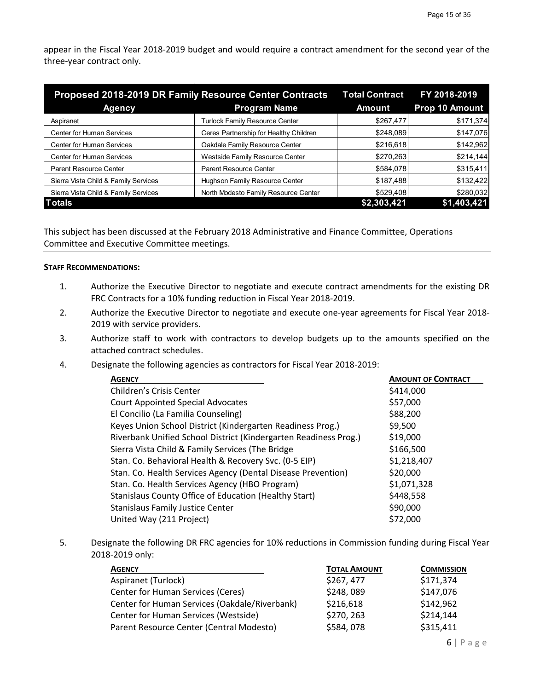appear in the Fiscal Year 2018‐2019 budget and would require a contract amendment for the second year of the three‐year contract only.

| Proposed 2018-2019 DR Family Resource Center Contracts | <b>Total Contract</b>                  | FY 2018-2019  |                |  |
|--------------------------------------------------------|----------------------------------------|---------------|----------------|--|
| <b>Agency</b>                                          | <b>Program Name</b>                    | <b>Amount</b> | Prop 10 Amount |  |
| Aspiranet                                              | Turlock Family Resource Center         | \$267,477     | \$171,374      |  |
| <b>Center for Human Services</b>                       | Ceres Partnership for Healthy Children | \$248,089     | \$147,076      |  |
| <b>Center for Human Services</b>                       | Oakdale Family Resource Center         | \$216,618     | \$142,962      |  |
| <b>Center for Human Services</b>                       | Westside Family Resource Center        | \$270,263     | \$214,144      |  |
| <b>Parent Resource Center</b>                          | <b>Parent Resource Center</b>          | \$584,078     | \$315,411      |  |
| Sierra Vista Child & Family Services                   | Hughson Family Resource Center         | \$187,488     | \$132,422      |  |
| Sierra Vista Child & Family Services                   | North Modesto Family Resource Center   | \$529,408     | \$280,032      |  |
| <b>Totals</b>                                          |                                        | \$2,303,421   | \$1,403,421    |  |

This subject has been discussed at the February 2018 Administrative and Finance Committee, Operations Committee and Executive Committee meetings.

## **STAFF RECOMMENDATIONS:**

- 1. Authorize the Executive Director to negotiate and execute contract amendments for the existing DR FRC Contracts for a 10% funding reduction in Fiscal Year 2018‐2019.
- 2. Authorize the Executive Director to negotiate and execute one-year agreements for Fiscal Year 2018-2019 with service providers.
- 3. Authorize staff to work with contractors to develop budgets up to the amounts specified on the attached contract schedules.
- 4. Designate the following agencies as contractors for Fiscal Year 2018‐2019:

| <b>AGENCY</b>                                                    | <b>AMOUNT OF CONTRACT</b> |
|------------------------------------------------------------------|---------------------------|
| Children's Crisis Center                                         | \$414,000                 |
| <b>Court Appointed Special Advocates</b>                         | \$57,000                  |
| El Concilio (La Familia Counseling)                              | \$88,200                  |
| Keyes Union School District (Kindergarten Readiness Prog.)       | \$9,500                   |
| Riverbank Unified School District (Kindergarten Readiness Prog.) | \$19,000                  |
| Sierra Vista Child & Family Services (The Bridge                 | \$166,500                 |
| Stan. Co. Behavioral Health & Recovery Svc. (0-5 EIP)            | \$1,218,407               |
| Stan. Co. Health Services Agency (Dental Disease Prevention)     | \$20,000                  |
| Stan. Co. Health Services Agency (HBO Program)                   | \$1,071,328               |
| Stanislaus County Office of Education (Healthy Start)            | \$448,558                 |
| <b>Stanislaus Family Justice Center</b>                          | \$90,000                  |
| United Way (211 Project)                                         | \$72,000                  |

5. Designate the following DR FRC agencies for 10% reductions in Commission funding during Fiscal Year 2018‐2019 only:

| <b>AGENCY</b>                                 | <b>TOTAL AMOUNT</b> | <b>COMMISSION</b> |
|-----------------------------------------------|---------------------|-------------------|
| Aspiranet (Turlock)                           | \$267,477           | \$171,374         |
| <b>Center for Human Services (Ceres)</b>      | \$248,089           | \$147,076         |
| Center for Human Services (Oakdale/Riverbank) | \$216,618           | \$142,962         |
| Center for Human Services (Westside)          | \$270, 263          | \$214,144         |
| Parent Resource Center (Central Modesto)      | \$584,078           | \$315,411         |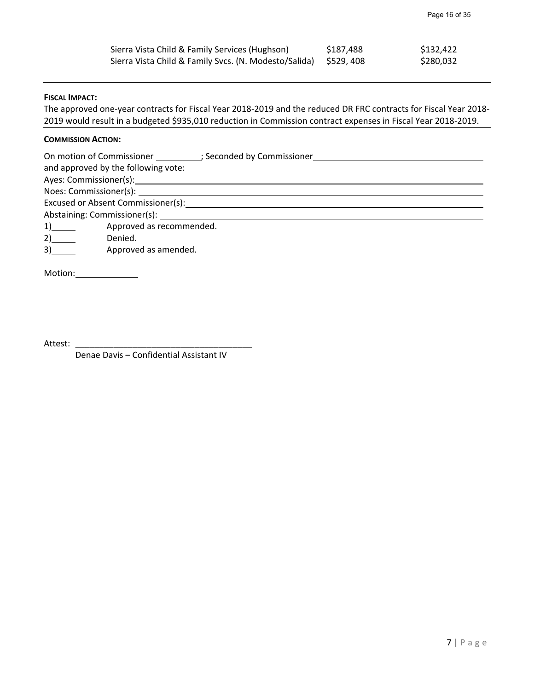| Sierra Vista Child & Family Services (Hughson)                   | \$187,488 | \$132,422 |
|------------------------------------------------------------------|-----------|-----------|
| Sierra Vista Child & Family Svcs. (N. Modesto/Salida) \$529, 408 |           | \$280,032 |

## **FISCAL IMPACT:**

The approved one‐year contracts for Fiscal Year 2018‐2019 and the reduced DR FRC contracts for Fiscal Year 2018‐ 2019 would result in a budgeted \$935,010 reduction in Commission contract expenses in Fiscal Year 2018‐2019.

## **COMMISSION ACTION:**

On motion of Commissioner ; Seconded by Commissioner

and approved by the following vote:

Ayes: Commissioner(s):

Noes: Commissioner(s): Excused or Absent Commissioner(s):

Abstaining: Commissioner(s): \_

1) Approved as recommended.

2) Denied.

3) **Approved as amended.** 

Motion:

Attest: \_\_\_\_\_\_\_\_\_\_\_\_\_\_\_\_\_\_\_\_\_\_\_\_\_\_\_\_\_\_\_\_\_\_\_\_\_

Denae Davis – Confidential Assistant IV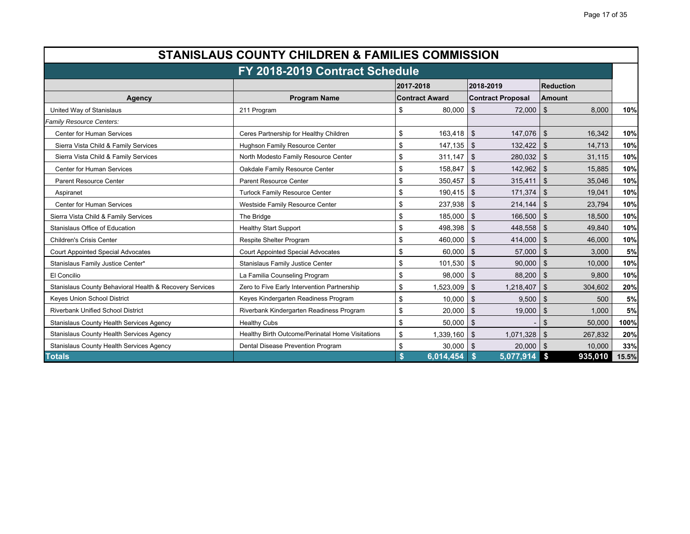| <b>STANISLAUS COUNTY CHILDREN &amp; FAMILIES COMMISSION</b>                                                                   |                                                                                               |    |                       |                          |                              |       |
|-------------------------------------------------------------------------------------------------------------------------------|-----------------------------------------------------------------------------------------------|----|-----------------------|--------------------------|------------------------------|-------|
| FY 2018-2019 Contract Schedule                                                                                                |                                                                                               |    |                       |                          |                              |       |
| <b>Reduction</b><br>2017-2018<br>2018-2019                                                                                    |                                                                                               |    |                       |                          |                              |       |
| Agency                                                                                                                        | <b>Program Name</b>                                                                           |    | <b>Contract Award</b> | <b>Contract Proposal</b> | <b>Amount</b>                |       |
| United Way of Stanislaus                                                                                                      | 211 Program                                                                                   | \$ | 80.000                | $72,000$ \ \$<br>\$      | 8.000                        | 10%   |
| Family Resource Centers:                                                                                                      |                                                                                               |    |                       |                          |                              |       |
| <b>Center for Human Services</b>                                                                                              | Ceres Partnership for Healthy Children                                                        | \$ | $163,418$ \ \$        | 147,076                  | $\vert$ \$<br>16,342         | 10%   |
| Sierra Vista Child & Family Services                                                                                          | Hughson Family Resource Center                                                                | \$ |                       | $132,422$ \$             | 14,713                       | 10%   |
| Sierra Vista Child & Family Services                                                                                          | North Modesto Family Resource Center                                                          | \$ |                       | $280,032$ \$             | 31,115                       | 10%   |
| <b>Center for Human Services</b>                                                                                              | Oakdale Family Resource Center                                                                | \$ | 158,847               | 142,962<br>\$            | $\vert$ \$<br>15,885         | 10%   |
| <b>Parent Resource Center</b>                                                                                                 | <b>Parent Resource Center</b>                                                                 | \$ | $350,457$ \$          | 315,411                  | $\mathbf{\hat{s}}$<br>35,046 | 10%   |
| Aspiranet                                                                                                                     | <b>Turlock Family Resource Center</b>                                                         | \$ | $190,415$ \$          | 171.374                  | -\$<br>19.041                | 10%   |
| <b>Center for Human Services</b><br>Westside Family Resource Center                                                           |                                                                                               | \$ | 237,938 \$            | $214,144$ \$             | 23,794                       | 10%   |
| Sierra Vista Child & Family Services<br>The Bridge                                                                            |                                                                                               | \$ | 185,000               | 166,500<br>\$            | \$<br>18,500                 | 10%   |
| Stanislaus Office of Education                                                                                                | <b>Healthy Start Support</b>                                                                  | \$ | $498,398$ \ \$        | 448,558                  | $\mathfrak{L}$<br>49.840     | 10%   |
| <b>Children's Crisis Center</b>                                                                                               | Respite Shelter Program                                                                       | \$ | $460,000$ \ \$        | 414,000                  | \$<br>46,000                 | 10%   |
| <b>Court Appointed Special Advocates</b>                                                                                      | <b>Court Appointed Special Advocates</b>                                                      | \$ | $60.000$ \ \$         | 57,000                   | $\mathfrak{S}$<br>3,000      | 5%    |
| Stanislaus Family Justice Center*                                                                                             | Stanislaus Family Justice Center                                                              | \$ | $101,530$ \ \$        | 90,000                   | -\$<br>10,000                | 10%   |
| El Concilio                                                                                                                   | La Familia Counseling Program                                                                 | \$ | 98,000                | 88,200<br>\$             | \$<br>9.800                  | 10%   |
| Stanislaus County Behavioral Health & Recovery Services                                                                       | Zero to Five Early Intervention Partnership                                                   | \$ | $1,523,009$ \$        | 1,218,407                | \$<br>304,602                | 20%   |
| Keyes Union School District                                                                                                   | Keyes Kindergarten Readiness Program                                                          | \$ | 10,000                | \$<br>9,500              | $\mathfrak{S}$<br>500        | 5%    |
| <b>Riverbank Unified School District</b>                                                                                      | Riverbank Kindergarten Readiness Program                                                      | \$ | 20.000                | \$<br>19,000             | $\mathfrak{L}$<br>1.000      | 5%    |
| Stanislaus County Health Services Agency                                                                                      | <b>Healthy Cubs</b>                                                                           | \$ | 50,000                | \$                       | \$<br>50,000                 | 100%  |
| Stanislaus County Health Services Agency                                                                                      | Healthy Birth Outcome/Perinatal Home Visitations<br>\$<br>1,071,328<br>1,339,160<br>\$<br>-\$ |    | 267,832               | 20%                      |                              |       |
| Stanislaus County Health Services Agency<br>Dental Disease Prevention Program<br>$20,000$ \$<br>\$<br>$30,000$ \ \$<br>10,000 |                                                                                               |    | 33%                   |                          |                              |       |
| \$<br>6,014,454<br>5,077,914<br>$\sim$<br>935,010<br><b>Totals</b>                                                            |                                                                                               |    |                       |                          |                              | 15.5% |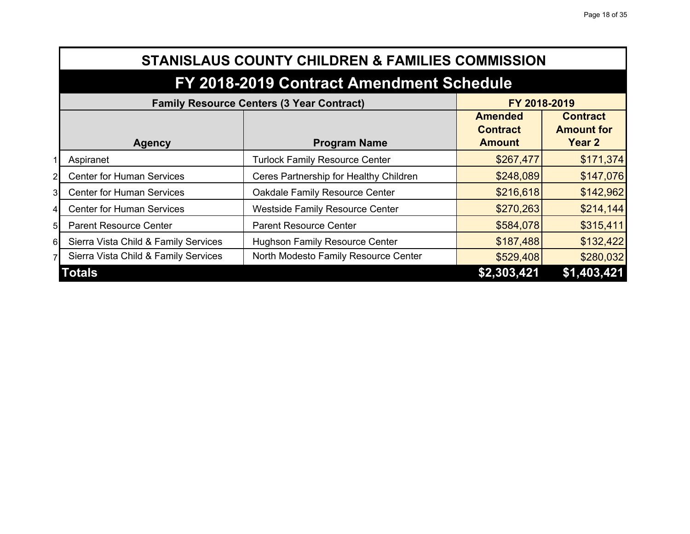|                | <b>STANISLAUS COUNTY CHILDREN &amp; FAMILIES COMMISSION</b>      |                                        |                                                    |                                                |  |  |
|----------------|------------------------------------------------------------------|----------------------------------------|----------------------------------------------------|------------------------------------------------|--|--|
|                | FY 2018-2019 Contract Amendment Schedule                         |                                        |                                                    |                                                |  |  |
|                | <b>Family Resource Centers (3 Year Contract)</b><br>FY 2018-2019 |                                        |                                                    |                                                |  |  |
|                | <b>Agency</b>                                                    | <b>Program Name</b>                    | <b>Amended</b><br><b>Contract</b><br><b>Amount</b> | <b>Contract</b><br><b>Amount for</b><br>Year 2 |  |  |
|                | Aspiranet                                                        | <b>Turlock Family Resource Center</b>  | \$267,477                                          | \$171,374                                      |  |  |
| 2              | <b>Center for Human Services</b>                                 | Ceres Partnership for Healthy Children | \$248,089                                          | \$147,076                                      |  |  |
| 31             | <b>Center for Human Services</b>                                 | Oakdale Family Resource Center         | \$216,618                                          | \$142,962                                      |  |  |
| $\overline{4}$ | <b>Center for Human Services</b>                                 | <b>Westside Family Resource Center</b> | \$270,263                                          | \$214,144                                      |  |  |
| 5 <sub>l</sub> | <b>Parent Resource Center</b>                                    | <b>Parent Resource Center</b>          | \$584,078                                          | \$315,411                                      |  |  |
| 6              | Sierra Vista Child & Family Services                             | <b>Hughson Family Resource Center</b>  | \$187,488                                          | \$132,422                                      |  |  |
| 7              | Sierra Vista Child & Family Services                             | North Modesto Family Resource Center   | \$529,408                                          | \$280,032                                      |  |  |
|                | <b>Totals</b>                                                    |                                        | \$2,303,421                                        | \$1,403,421                                    |  |  |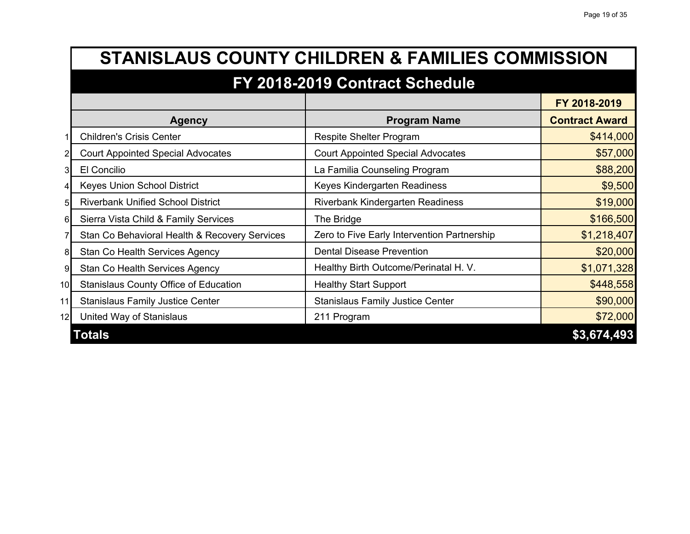|                 | <b>STANISLAUS COUNTY CHILDREN &amp; FAMILIES COMMISSION</b> |                                             |                       |  |
|-----------------|-------------------------------------------------------------|---------------------------------------------|-----------------------|--|
|                 | FY 2018-2019 Contract Schedule                              |                                             |                       |  |
|                 |                                                             |                                             | FY 2018-2019          |  |
|                 | <b>Agency</b>                                               | <b>Program Name</b>                         | <b>Contract Award</b> |  |
|                 | <b>Children's Crisis Center</b>                             | <b>Respite Shelter Program</b>              | \$414,000             |  |
|                 | <b>Court Appointed Special Advocates</b>                    | <b>Court Appointed Special Advocates</b>    | \$57,000              |  |
| 31              | El Concilio                                                 | La Familia Counseling Program               | \$88,200              |  |
|                 | <b>Keyes Union School District</b>                          | Keyes Kindergarten Readiness                | \$9,500               |  |
| 51              | <b>Riverbank Unified School District</b>                    | <b>Riverbank Kindergarten Readiness</b>     | \$19,000              |  |
| 61              | Sierra Vista Child & Family Services                        | The Bridge                                  | \$166,500             |  |
|                 | Stan Co Behavioral Health & Recovery Services               | Zero to Five Early Intervention Partnership | \$1,218,407           |  |
| 8               | <b>Stan Co Health Services Agency</b>                       | <b>Dental Disease Prevention</b>            | \$20,000              |  |
| 9               | <b>Stan Co Health Services Agency</b>                       | Healthy Birth Outcome/Perinatal H. V.       | \$1,071,328           |  |
| 10 <sup>1</sup> | <b>Stanislaus County Office of Education</b>                | <b>Healthy Start Support</b>                | \$448,558             |  |
| 11              | <b>Stanislaus Family Justice Center</b>                     | <b>Stanislaus Family Justice Center</b>     | \$90,000              |  |
| 12              | United Way of Stanislaus                                    | 211 Program                                 | \$72,000              |  |
|                 | <b>Totals</b>                                               |                                             | \$3,674,493           |  |

F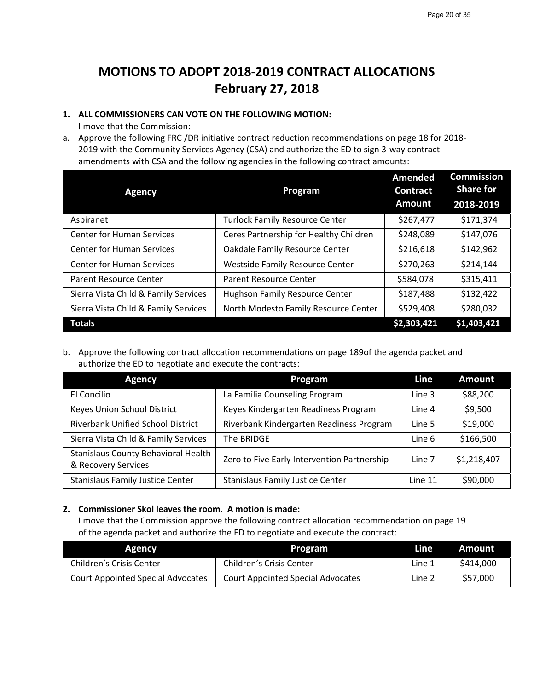## **MOTIONS TO ADOPT 2018‐2019 CONTRACT ALLOCATIONS February 27, 2018**

## **1. ALL COMMISSIONERS CAN VOTE ON THE FOLLOWING MOTION:**

I move that the Commission:

a. Approve the following FRC /DR initiative contract reduction recommendations on page 18 for 2018‐ 2019 with the Community Services Agency (CSA) and authorize the ED to sign 3‐way contract amendments with CSA and the following agencies in the following contract amounts:

| <b>Agency</b>                                                              | Program                                | Amended<br><b>Contract</b><br><b>Amount</b> | <b>Commission</b><br><b>Share for</b><br>2018-2019 |
|----------------------------------------------------------------------------|----------------------------------------|---------------------------------------------|----------------------------------------------------|
| Aspiranet                                                                  | <b>Turlock Family Resource Center</b>  | \$267,477                                   | \$171,374                                          |
| <b>Center for Human Services</b><br>Ceres Partnership for Healthy Children |                                        | \$248,089                                   | \$147,076                                          |
| <b>Center for Human Services</b>                                           | Oakdale Family Resource Center         | \$216,618                                   | \$142,962                                          |
| <b>Center for Human Services</b>                                           | <b>Westside Family Resource Center</b> | \$270,263                                   | \$214,144                                          |
| Parent Resource Center                                                     | Parent Resource Center                 | \$584,078                                   | \$315,411                                          |
| Sierra Vista Child & Family Services                                       | <b>Hughson Family Resource Center</b>  | \$187,488                                   | \$132,422                                          |
| Sierra Vista Child & Family Services                                       | North Modesto Family Resource Center   | \$529,408                                   | \$280,032                                          |
| <b>Totals</b>                                                              |                                        | \$2,303,421                                 | \$1,403,421                                        |

b. Approve the following contract allocation recommendations on page 189of the agenda packet and authorize the ED to negotiate and execute the contracts:

| <b>Agency</b>                                                     | Program                                     | Line    | <b>Amount</b> |
|-------------------------------------------------------------------|---------------------------------------------|---------|---------------|
| El Concilio                                                       | La Familia Counseling Program               | Line 3  | \$88,200      |
| Keyes Union School District                                       | Keyes Kindergarten Readiness Program        | Line 4  | \$9,500       |
| <b>Riverbank Unified School District</b>                          | Riverbank Kindergarten Readiness Program    | Line 5  | \$19,000      |
| Sierra Vista Child & Family Services                              | The BRIDGE                                  | Line 6  | \$166,500     |
| <b>Stanislaus County Behavioral Health</b><br>& Recovery Services | Zero to Five Early Intervention Partnership | Line 7  | \$1,218,407   |
| <b>Stanislaus Family Justice Center</b>                           | <b>Stanislaus Family Justice Center</b>     | Line 11 | \$90,000      |

## **2. Commissioner Skol leaves the room. A motion is made:**

I move that the Commission approve the following contract allocation recommendation on page 19 of the agenda packet and authorize the ED to negotiate and execute the contract:

| <b>Agency</b>                            | Program                                  | Line   | Amount   |
|------------------------------------------|------------------------------------------|--------|----------|
| Children's Crisis Center                 | Children's Crisis Center                 | Line 1 | S414.000 |
| <b>Court Appointed Special Advocates</b> | <b>Court Appointed Special Advocates</b> | Line 2 | \$57,000 |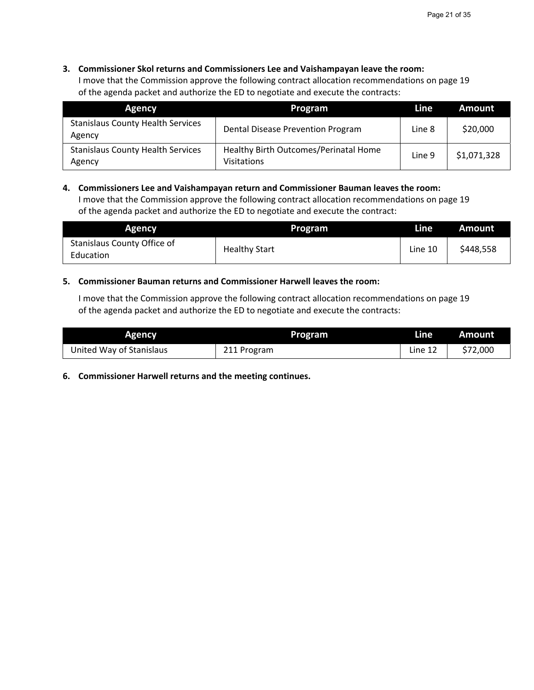## **3. Commissioner Skol returns and Commissioners Lee and Vaishampayan leave the room:**

I move that the Commission approve the following contract allocation recommendations on page 19 of the agenda packet and authorize the ED to negotiate and execute the contracts:

| Program<br><b>Agency</b>                           |                                                             | Line   | Amount      |
|----------------------------------------------------|-------------------------------------------------------------|--------|-------------|
| <b>Stanislaus County Health Services</b><br>Agency | Dental Disease Prevention Program                           | Line 8 | \$20,000    |
| <b>Stanislaus County Health Services</b><br>Agency | Healthy Birth Outcomes/Perinatal Home<br><b>Visitations</b> | Line 9 | \$1,071,328 |

## **4. Commissioners Lee and Vaishampayan return and Commissioner Bauman leaves the room:**

I move that the Commission approve the following contract allocation recommendations on page 19 of the agenda packet and authorize the ED to negotiate and execute the contract:

| <b>Agency</b>                            | Program              | Line    | Amount    |
|------------------------------------------|----------------------|---------|-----------|
| Stanislaus County Office of<br>Education | <b>Healthy Start</b> | Line 10 | \$448,558 |

## **5. Commissioner Bauman returns and Commissioner Harwell leaves the room:**

I move that the Commission approve the following contract allocation recommendations on page 19 of the agenda packet and authorize the ED to negotiate and execute the contracts:

| <b>Agency</b>            | <b>Program</b> | Line    | <b>Amount</b> |
|--------------------------|----------------|---------|---------------|
| United Way of Stanislaus | 211 Program    | Line 12 | \$72,000      |

**6. Commissioner Harwell returns and the meeting continues.**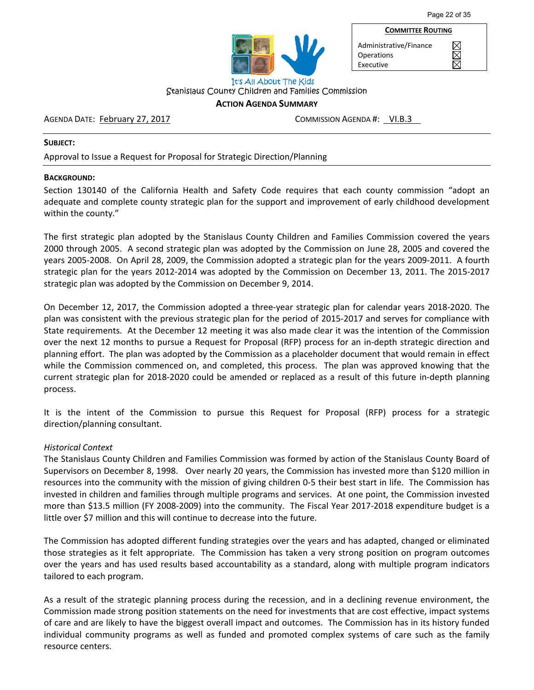XXX



Administrative/Finance **Operations** Executive

**COMMITTEE ROUTING**

It's All About The Kids Stanislaus County Children and Families Commission

## **ACTION AGENDA SUMMARY**

AGENDA DATE: February 27, 2017 COMMISSION AGENDA #: VI.B.3

#### **SUBJECT:**

Approval to Issue a Request for Proposal for Strategic Direction/Planning

## **BACKGROUND:**

Section 130140 of the California Health and Safety Code requires that each county commission "adopt an adequate and complete county strategic plan for the support and improvement of early childhood development within the county."

The first strategic plan adopted by the Stanislaus County Children and Families Commission covered the years 2000 through 2005. A second strategic plan was adopted by the Commission on June 28, 2005 and covered the years 2005‐2008. On April 28, 2009, the Commission adopted a strategic plan for the years 2009‐2011. A fourth strategic plan for the years 2012‐2014 was adopted by the Commission on December 13, 2011. The 2015‐2017 strategic plan was adopted by the Commission on December 9, 2014.

On December 12, 2017, the Commission adopted a three‐year strategic plan for calendar years 2018‐2020. The plan was consistent with the previous strategic plan for the period of 2015‐2017 and serves for compliance with State requirements. At the December 12 meeting it was also made clear it was the intention of the Commission over the next 12 months to pursue a Request for Proposal (RFP) process for an in‐depth strategic direction and planning effort. The plan was adopted by the Commission as a placeholder document that would remain in effect while the Commission commenced on, and completed, this process. The plan was approved knowing that the current strategic plan for 2018‐2020 could be amended or replaced as a result of this future in‐depth planning process.

It is the intent of the Commission to pursue this Request for Proposal (RFP) process for a strategic direction/planning consultant.

## *Historical Context*

The Stanislaus County Children and Families Commission was formed by action of the Stanislaus County Board of Supervisors on December 8, 1998. Over nearly 20 years, the Commission has invested more than \$120 million in resources into the community with the mission of giving children 0‐5 their best start in life. The Commission has invested in children and families through multiple programs and services. At one point, the Commission invested more than \$13.5 million (FY 2008‐2009) into the community. The Fiscal Year 2017‐2018 expenditure budget is a little over \$7 million and this will continue to decrease into the future.

The Commission has adopted different funding strategies over the years and has adapted, changed or eliminated those strategies as it felt appropriate. The Commission has taken a very strong position on program outcomes over the years and has used results based accountability as a standard, along with multiple program indicators tailored to each program.

As a result of the strategic planning process during the recession, and in a declining revenue environment, the Commission made strong position statements on the need for investments that are cost effective, impact systems of care and are likely to have the biggest overall impact and outcomes. The Commission has in its history funded individual community programs as well as funded and promoted complex systems of care such as the family resource centers.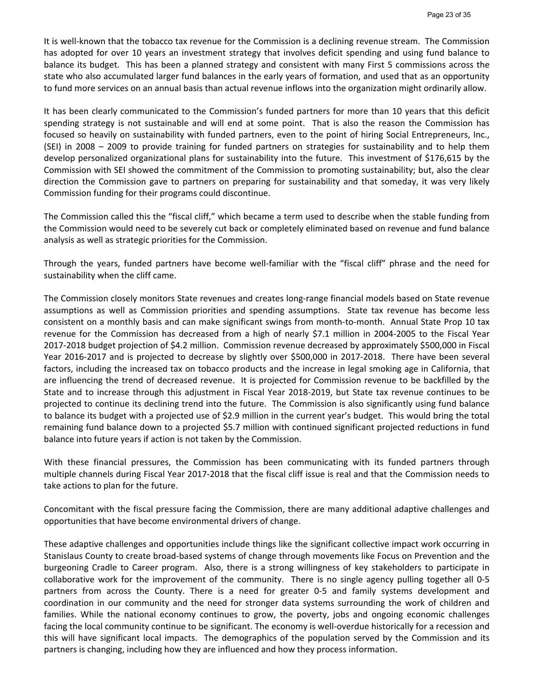It is well-known that the tobacco tax revenue for the Commission is a declining revenue stream. The Commission has adopted for over 10 years an investment strategy that involves deficit spending and using fund balance to balance its budget. This has been a planned strategy and consistent with many First 5 commissions across the state who also accumulated larger fund balances in the early years of formation, and used that as an opportunity to fund more services on an annual basis than actual revenue inflows into the organization might ordinarily allow.

It has been clearly communicated to the Commission's funded partners for more than 10 years that this deficit spending strategy is not sustainable and will end at some point. That is also the reason the Commission has focused so heavily on sustainability with funded partners, even to the point of hiring Social Entrepreneurs, Inc., (SEI) in 2008 – 2009 to provide training for funded partners on strategies for sustainability and to help them develop personalized organizational plans for sustainability into the future. This investment of \$176,615 by the Commission with SEI showed the commitment of the Commission to promoting sustainability; but, also the clear direction the Commission gave to partners on preparing for sustainability and that someday, it was very likely Commission funding for their programs could discontinue.

The Commission called this the "fiscal cliff," which became a term used to describe when the stable funding from the Commission would need to be severely cut back or completely eliminated based on revenue and fund balance analysis as well as strategic priorities for the Commission.

Through the years, funded partners have become well‐familiar with the "fiscal cliff" phrase and the need for sustainability when the cliff came.

The Commission closely monitors State revenues and creates long‐range financial models based on State revenue assumptions as well as Commission priorities and spending assumptions. State tax revenue has become less consistent on a monthly basis and can make significant swings from month‐to‐month. Annual State Prop 10 tax revenue for the Commission has decreased from a high of nearly \$7.1 million in 2004‐2005 to the Fiscal Year 2017‐2018 budget projection of \$4.2 million. Commission revenue decreased by approximately \$500,000 in Fiscal Year 2016-2017 and is projected to decrease by slightly over \$500,000 in 2017-2018. There have been several factors, including the increased tax on tobacco products and the increase in legal smoking age in California, that are influencing the trend of decreased revenue. It is projected for Commission revenue to be backfilled by the State and to increase through this adjustment in Fiscal Year 2018-2019, but State tax revenue continues to be projected to continue its declining trend into the future. The Commission is also significantly using fund balance to balance its budget with a projected use of \$2.9 million in the current year's budget. This would bring the total remaining fund balance down to a projected \$5.7 million with continued significant projected reductions in fund balance into future years if action is not taken by the Commission.

With these financial pressures, the Commission has been communicating with its funded partners through multiple channels during Fiscal Year 2017‐2018 that the fiscal cliff issue is real and that the Commission needs to take actions to plan for the future.

Concomitant with the fiscal pressure facing the Commission, there are many additional adaptive challenges and opportunities that have become environmental drivers of change.

These adaptive challenges and opportunities include things like the significant collective impact work occurring in Stanislaus County to create broad‐based systems of change through movements like Focus on Prevention and the burgeoning Cradle to Career program. Also, there is a strong willingness of key stakeholders to participate in collaborative work for the improvement of the community. There is no single agency pulling together all 0-5 partners from across the County. There is a need for greater 0-5 and family systems development and coordination in our community and the need for stronger data systems surrounding the work of children and families. While the national economy continues to grow, the poverty, jobs and ongoing economic challenges facing the local community continue to be significant. The economy is well-overdue historically for a recession and this will have significant local impacts. The demographics of the population served by the Commission and its partners is changing, including how they are influenced and how they process information.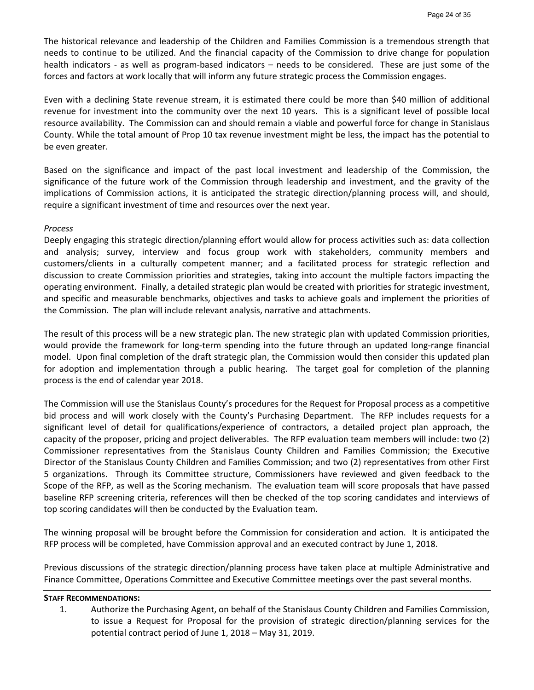The historical relevance and leadership of the Children and Families Commission is a tremendous strength that needs to continue to be utilized. And the financial capacity of the Commission to drive change for population health indicators - as well as program-based indicators – needs to be considered. These are just some of the forces and factors at work locally that will inform any future strategic process the Commission engages.

Even with a declining State revenue stream, it is estimated there could be more than \$40 million of additional revenue for investment into the community over the next 10 years. This is a significant level of possible local resource availability. The Commission can and should remain a viable and powerful force for change in Stanislaus County. While the total amount of Prop 10 tax revenue investment might be less, the impact has the potential to be even greater.

Based on the significance and impact of the past local investment and leadership of the Commission, the significance of the future work of the Commission through leadership and investment, and the gravity of the implications of Commission actions, it is anticipated the strategic direction/planning process will, and should, require a significant investment of time and resources over the next year.

## *Process*

Deeply engaging this strategic direction/planning effort would allow for process activities such as: data collection and analysis; survey, interview and focus group work with stakeholders, community members and customers/clients in a culturally competent manner; and a facilitated process for strategic reflection and discussion to create Commission priorities and strategies, taking into account the multiple factors impacting the operating environment. Finally, a detailed strategic plan would be created with priorities for strategic investment, and specific and measurable benchmarks, objectives and tasks to achieve goals and implement the priorities of the Commission. The plan will include relevant analysis, narrative and attachments.

The result of this process will be a new strategic plan. The new strategic plan with updated Commission priorities, would provide the framework for long-term spending into the future through an updated long-range financial model. Upon final completion of the draft strategic plan, the Commission would then consider this updated plan for adoption and implementation through a public hearing. The target goal for completion of the planning process is the end of calendar year 2018.

The Commission will use the Stanislaus County's procedures for the Request for Proposal process as a competitive bid process and will work closely with the County's Purchasing Department. The RFP includes requests for a significant level of detail for qualifications/experience of contractors, a detailed project plan approach, the capacity of the proposer, pricing and project deliverables. The RFP evaluation team members will include: two (2) Commissioner representatives from the Stanislaus County Children and Families Commission; the Executive Director of the Stanislaus County Children and Families Commission; and two (2) representatives from other First 5 organizations. Through its Committee structure, Commissioners have reviewed and given feedback to the Scope of the RFP, as well as the Scoring mechanism. The evaluation team will score proposals that have passed baseline RFP screening criteria, references will then be checked of the top scoring candidates and interviews of top scoring candidates will then be conducted by the Evaluation team.

The winning proposal will be brought before the Commission for consideration and action. It is anticipated the RFP process will be completed, have Commission approval and an executed contract by June 1, 2018.

Previous discussions of the strategic direction/planning process have taken place at multiple Administrative and Finance Committee, Operations Committee and Executive Committee meetings over the past several months.

## **STAFF RECOMMENDATIONS:**

1. Authorize the Purchasing Agent, on behalf of the Stanislaus County Children and Families Commission, to issue a Request for Proposal for the provision of strategic direction/planning services for the potential contract period of June 1, 2018 – May 31, 2019.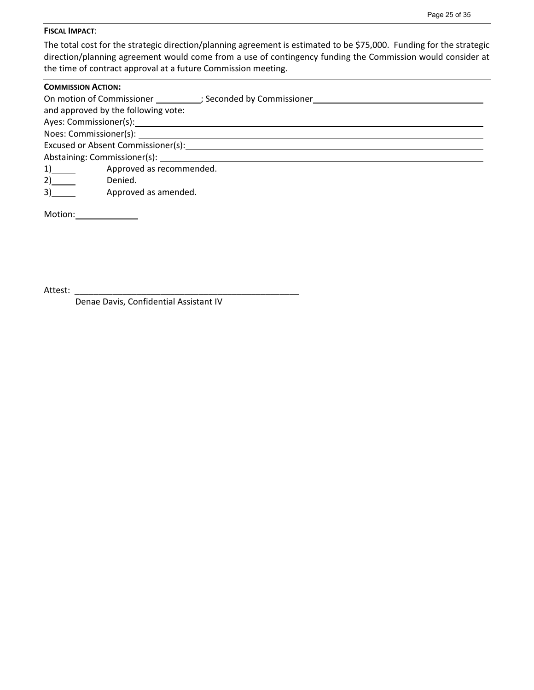### **FISCAL IMPACT**:

The total cost for the strategic direction/planning agreement is estimated to be \$75,000. Funding for the strategic direction/planning agreement would come from a use of contingency funding the Commission would consider at the time of contract approval at a future Commission meeting.

| <b>COMMISSION ACTION:</b> |                                                                                                                                                                                                                               |  |  |  |  |  |  |
|---------------------------|-------------------------------------------------------------------------------------------------------------------------------------------------------------------------------------------------------------------------------|--|--|--|--|--|--|
|                           | On motion of Commissioner (3) Seconded by Commissioner                                                                                                                                                                        |  |  |  |  |  |  |
|                           | and approved by the following vote:                                                                                                                                                                                           |  |  |  |  |  |  |
|                           |                                                                                                                                                                                                                               |  |  |  |  |  |  |
|                           | Noes: Commissioner(s): Noes: Commissioner(s):                                                                                                                                                                                 |  |  |  |  |  |  |
|                           |                                                                                                                                                                                                                               |  |  |  |  |  |  |
|                           | Abstaining: Commissioner(s): Notified that the state of the state of the state of the state of the state of the state of the state of the state of the state of the state of the state of the state of the state of the state |  |  |  |  |  |  |
| $1)$ and $2$              | Approved as recommended.                                                                                                                                                                                                      |  |  |  |  |  |  |
| 2)                        | Denied.                                                                                                                                                                                                                       |  |  |  |  |  |  |
| 3)                        | Approved as amended.                                                                                                                                                                                                          |  |  |  |  |  |  |

Motion:

Attest:

Denae Davis, Confidential Assistant IV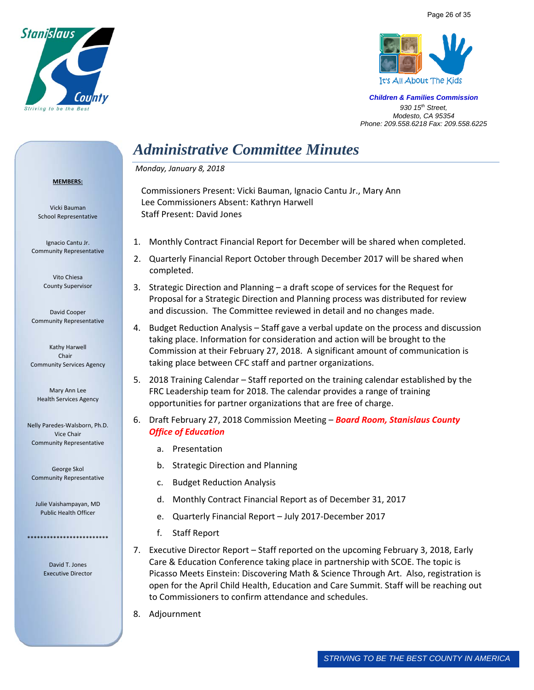



# *Administrative Committee Minutes*

## *Monday, January 8, 2018*

#### **MEMBERS:**

Vicki Bauman School Representative

Ignacio Cantu Jr. Community Representative

> Vito Chiesa County Supervisor

David Cooper Community Representative

Kathy Harwell Chair Community Services Agency

Mary Ann Lee Health Services Agency

Nelly Paredes‐Walsborn, Ph.D. Vice Chair Community Representative

George Skol Community Representative

Julie Vaishampayan, MD Public Health Officer

\*\*\*\*\*\*\*\*\*\*\*\*\*\*\*\*\*\*\*\*\*\*\*\*\*

David T. Jones Executive Director Commissioners Present: Vicki Bauman, Ignacio Cantu Jr., Mary Ann Lee Commissioners Absent: Kathryn Harwell Staff Present: David Jones

- 1. Monthly Contract Financial Report for December will be shared when completed.
- 2. Quarterly Financial Report October through December 2017 will be shared when completed.
- 3. Strategic Direction and Planning a draft scope of services for the Request for Proposal for a Strategic Direction and Planning process was distributed for review and discussion. The Committee reviewed in detail and no changes made.
- 4. Budget Reduction Analysis Staff gave a verbal update on the process and discussion taking place. Information for consideration and action will be brought to the Commission at their February 27, 2018. A significant amount of communication is taking place between CFC staff and partner organizations.
- 5. 2018 Training Calendar Staff reported on the training calendar established by the FRC Leadership team for 2018. The calendar provides a range of training opportunities for partner organizations that are free of charge.
- 6. Draft February 27, 2018 Commission Meeting *Board Room, Stanislaus County Office of Education*
	- a. Presentation
	- b. Strategic Direction and Planning
	- c. Budget Reduction Analysis
	- d. Monthly Contract Financial Report as of December 31, 2017
	- e. Quarterly Financial Report July 2017‐December 2017
	- f. Staff Report
- 7. Executive Director Report Staff reported on the upcoming February 3, 2018, Early Care & Education Conference taking place in partnership with SCOE. The topic is Picasso Meets Einstein: Discovering Math & Science Through Art. Also, registration is open for the April Child Health, Education and Care Summit. Staff will be reaching out to Commissioners to confirm attendance and schedules.
- 8. Adjournment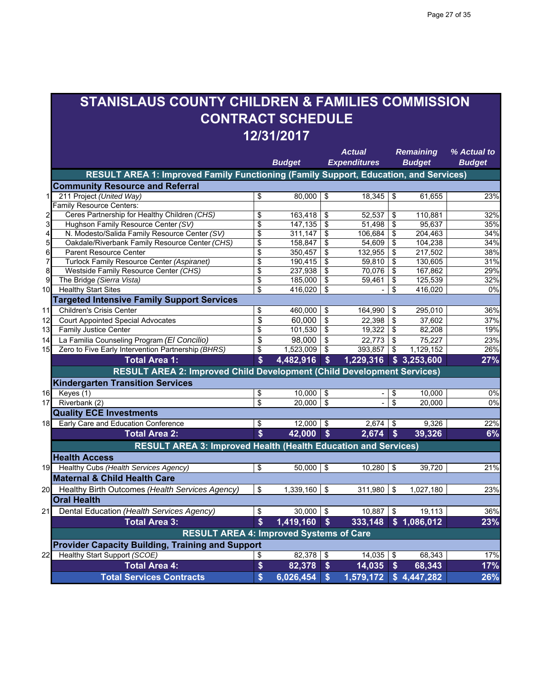## **STANISLAUS COUNTY CHILDREN & FAMILIES COMMISSION CONTRACT SCHEDULE 12/31/2017**

|                         |                                                                                      |                    | <b>Budget</b> |                           | Actual<br><b>Expenditures</b> |                           | <b>Remaining</b><br><b>Budget</b> | % Actual to<br><b>Budget</b> |
|-------------------------|--------------------------------------------------------------------------------------|--------------------|---------------|---------------------------|-------------------------------|---------------------------|-----------------------------------|------------------------------|
|                         | RESULT AREA 1: Improved Family Functioning (Family Support, Education, and Services) |                    |               |                           |                               |                           |                                   |                              |
|                         | <b>Community Resource and Referral</b>                                               |                    |               |                           |                               |                           |                                   |                              |
| 1                       | 211 Project (United Way)                                                             | \$                 | 80,000        | \$                        | 18,345                        | \$                        | 61,655                            | 23%                          |
|                         | Family Resource Centers:                                                             |                    |               |                           |                               |                           |                                   |                              |
| $\overline{\mathbf{c}}$ | Ceres Partnership for Healthy Children (CHS)                                         | \$                 | 163,418       | \$                        | 52,537                        | \$                        | 110,881                           | 32%                          |
| 3                       | Hughson Family Resource Center (SV)                                                  | \$                 | 147,135       | \$                        | 51,498                        | \$                        | 95.637                            | 35%                          |
| 4                       | N. Modesto/Salida Family Resource Center (SV)                                        | \$                 | 311,147       | \$                        | 106,684                       | \$                        | 204,463                           | 34%                          |
| 5                       | Oakdale/Riverbank Family Resource Center (CHS)                                       | \$                 | 158,847       | \$                        | 54,609                        | \$                        | 104,238                           | 34%                          |
| 6                       | <b>Parent Resource Center</b>                                                        | \$                 | 350,457       | \$                        | 132,955                       | \$                        | 217,502                           | 38%                          |
| 7                       | Turlock Family Resource Center (Aspiranet)                                           | \$                 | 190,415       | \$                        | 59,810                        | \$                        | 130,605                           | 31%                          |
| 8                       | Westside Family Resource Center (CHS)                                                | \$                 | 237,938       | \$                        | 70,076                        | \$                        | 167,862                           | 29%                          |
| 9                       | The Bridge (Sierra Vista)                                                            | \$                 | 185,000       | \$                        | 59,461                        | \$                        | 125,539                           | 32%                          |
| 10                      | <b>Healthy Start Sites</b>                                                           | \$                 | 416,020       | \$                        |                               | \$                        | 416,020                           | $\overline{0\%}$             |
|                         | <b>Targeted Intensive Family Support Services</b>                                    |                    |               |                           |                               |                           |                                   |                              |
| 11                      | <b>Children's Crisis Center</b>                                                      | \$                 | 460,000       | \$                        | 164,990                       | \$                        | 295,010                           | 36%                          |
| 12                      | <b>Court Appointed Special Advocates</b>                                             | \$                 | 60,000        | \$                        | 22.398                        | \$                        | 37,602                            | 37%                          |
| 13                      | <b>Family Justice Center</b>                                                         | \$                 | 101,530       | \$                        | 19,322                        | \$                        | 82,208                            | 19%                          |
| 14                      | La Familia Counseling Program (El Concilio)                                          | \$                 | 98,000        | \$                        | 22,773                        | \$                        | 75,227                            | 23%                          |
| 15                      | Zero to Five Early Intervention Partnership (BHRS)                                   | \$                 | 1,523,009     | \$                        | 393,857                       | \$                        | 1,129,152                         | 26%                          |
|                         | <b>Total Area 1:</b>                                                                 | \$                 | 4,482,916     | \$                        | 1,229,316                     |                           | \$3,253,600                       | 27%                          |
|                         | RESULT AREA 2: Improved Child Development (Child Development Services)               |                    |               |                           |                               |                           |                                   |                              |
|                         | <b>Kindergarten Transition Services</b>                                              |                    |               |                           |                               |                           |                                   |                              |
| 16                      | Keyes (1)                                                                            | \$                 | 10,000        | \$                        | $\sim$                        | \$                        | 10.000                            | 0%                           |
| 17                      | Riverbank (2)                                                                        | \$                 | 20.000        | \$                        | ÷,                            | \$                        | 20.000                            | 0%                           |
|                         | <b>Quality ECE Investments</b>                                                       |                    |               |                           |                               |                           |                                   |                              |
| 18                      | Early Care and Education Conference                                                  | \$                 | 12,000        | \$                        | 2,674                         | -\$                       | 9,326                             | 22%                          |
|                         | <b>Total Area 2:</b>                                                                 | \$                 | 42,000        | $\boldsymbol{\mathsf{s}}$ | 2,674                         | $\boldsymbol{\mathsf{s}}$ | 39,326                            | 6%                           |
|                         | <b>RESULT AREA 3: Improved Health (Health Education and Services)</b>                |                    |               |                           |                               |                           |                                   |                              |
|                         | Health Access                                                                        |                    |               |                           |                               |                           |                                   |                              |
| 19                      | Healthy Cubs (Health Services Agency)                                                | \$                 | 50,000        | \$                        | 10,280                        | \$                        | 39,720                            | 21%                          |
|                         | <b>Maternal &amp; Child Health Care</b>                                              |                    |               |                           |                               |                           |                                   |                              |
| 20                      | Healthy Birth Outcomes (Health Services Agency)                                      | \$                 | 1,339,160     | \$                        | 311,980                       | \$                        | 1,027,180                         | 23%                          |
|                         | <b>Oral Health</b>                                                                   |                    |               |                           |                               |                           |                                   |                              |
| 21                      | Dental Education (Health Services Agency)                                            | \$                 | 30,000        | $\sqrt[6]{\frac{1}{2}}$   | 10,887                        | \$                        | 19,113                            | 36%                          |
|                         | <b>Total Area 3:</b>                                                                 | $\mathbf{\hat{s}}$ | 1,419,160     | \$                        | 333,148                       |                           | \$1,086,012                       | 23%                          |
|                         | <b>RESULT AREA 4: Improved Systems of Care</b>                                       |                    |               |                           |                               |                           |                                   |                              |
|                         | <b>Provider Capacity Building, Training and Support</b>                              |                    |               |                           |                               |                           |                                   |                              |
| 22                      | Healthy Start Support (SCOE)                                                         | \$                 | 82,378        | \$                        | 14,035                        | \$                        | 68,343                            | 17%                          |
|                         | <b>Total Area 4:</b>                                                                 | \$                 | 82,378        | \$                        | 14,035                        | $\boldsymbol{\$}$         | 68,343                            | 17%                          |
|                         | <b>Total Services Contracts</b>                                                      | $\boldsymbol{\$}$  | 6,026,454     | $\mathbf{s}$              | $\overline{1,579,172}$        |                           | \$4,447,282                       | 26%                          |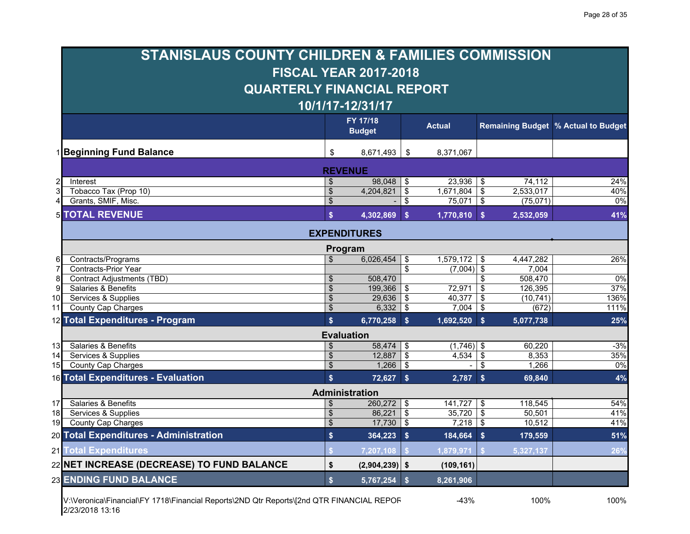|                 | <b>STANISLAUS COUNTY CHILDREN &amp; FAMILIES COMMISSION</b> |                           |                              |                         |                |                                        |                                       |
|-----------------|-------------------------------------------------------------|---------------------------|------------------------------|-------------------------|----------------|----------------------------------------|---------------------------------------|
|                 |                                                             |                           | <b>FISCAL YEAR 2017-2018</b> |                         |                |                                        |                                       |
|                 | <b>QUARTERLY FINANCIAL REPORT</b>                           |                           |                              |                         |                |                                        |                                       |
|                 |                                                             |                           | 10/1/17-12/31/17             |                         |                |                                        |                                       |
|                 |                                                             |                           | FY 17/18                     |                         |                |                                        |                                       |
|                 |                                                             |                           | <b>Budget</b>                |                         | <b>Actual</b>  |                                        | Remaining Budget   % Actual to Budget |
|                 | 1 Beginning Fund Balance                                    | \$                        | 8,671,493                    | \$                      | 8,371,067      |                                        |                                       |
|                 |                                                             |                           | <b>REVENUE</b>               |                         |                |                                        |                                       |
|                 | Interest                                                    | \$                        | 98,048                       | -\$                     | $23,936$ \ \$  | 74,112                                 | 24%                                   |
|                 | Tobacco Tax (Prop 10)                                       | \$                        | 4,204,821                    | $\overline{\mathbf{e}}$ | $1,671,804$ \$ | 2,533,017                              | 40%                                   |
| 4               | Grants, SMIF, Misc.                                         | $\boldsymbol{\theta}$     |                              | \$                      | $75,071$ \$    | (75,071)                               | 0%                                    |
|                 | <b>5 TOTAL REVENUE</b>                                      | $\mathbf{s}$              | 4,302,869                    | $\mathbf{s}$            | $1,770,810$ \$ | 2,532,059                              | 41%                                   |
|                 |                                                             |                           | <b>EXPENDITURES</b>          |                         |                |                                        |                                       |
|                 |                                                             |                           | Program                      |                         |                |                                        |                                       |
|                 | Contracts/Programs                                          | $\mathfrak{L}$            | 6,026,454                    | \$                      | 1,579,172      | 4,447,282<br>\$                        | 26%                                   |
|                 | Contracts-Prior Year                                        |                           |                              | \$                      | $(7,004)$ \$   | 7,004                                  |                                       |
| 8               | <b>Contract Adjustments (TBD)</b>                           | $\boldsymbol{\mathsf{S}}$ | 508,470                      |                         |                | 508,470<br>\$                          | 0%                                    |
| 9               | Salaries & Benefits                                         | $\boldsymbol{\mathsf{S}}$ | 199,366                      | \$                      | 72,971         | \$<br>126,395                          | 37%                                   |
| 10              | Services & Supplies                                         | \$                        | 29,636                       | $\overline{\mathbf{S}}$ | 40,377         | $\boldsymbol{\mathsf{S}}$<br>(10, 741) | 136%                                  |
| 11              | County Cap Charges                                          | \$                        | 6,332                        | \$                      | 7,004          | \$<br>(672)                            | 111%                                  |
|                 | 12 Total Expenditures - Program                             | $\mathbf{s}$              | 6,770,258 \$                 |                         | $1,692,520$ \$ | 5,077,738                              | 25%                                   |
|                 |                                                             |                           | <b>Evaluation</b>            |                         |                |                                        |                                       |
| 13              | Salaries & Benefits                                         | $\boldsymbol{\mathsf{S}}$ | 58,474                       | \$                      | $(1,746)$ \$   | 60,220                                 | $-3%$                                 |
| 14              | Services & Supplies                                         | \$                        | 12,887                       | $\overline{\mathbf{s}}$ | 4,534          | $\boldsymbol{\mathsf{S}}$<br>8,353     | 35%                                   |
| 15              | <b>County Cap Charges</b>                                   | $\boldsymbol{\mathsf{S}}$ | 1,266                        | \$                      |                | \$<br>1,266                            | $0\%$                                 |
|                 | 16 Total Expenditures - Evaluation                          | $\mathbf{s}$              | $72,627$ \$                  |                         | $2,787$ \$     | 69,840                                 | 4%                                    |
|                 |                                                             |                           | <b>Administration</b>        |                         |                |                                        |                                       |
| 17              | Salaries & Benefits                                         | \$                        | 260,272                      | \$                      | $141,727$ \$   | 118,545                                | 54%                                   |
| 18 <sup>1</sup> | Services & Supplies                                         | $\boldsymbol{\$}$         | $86,221$ \$                  |                         | $35,720$ \$    | 50,501                                 | 41%                                   |
| 19              | County Cap Charges                                          | $\mathbf{\$}$             | $17,730$ \$                  |                         | $7,218$ \$     | 10,512                                 | 41%                                   |
|                 | 20 Total Expenditures - Administration                      | $\boldsymbol{\$}$         | 364,223 \$                   |                         | 184,664 \$     | 179,559                                | 51%                                   |
|                 | 21 Total Expenditures                                       |                           | 7,207,108                    |                         | 1,879,971      | 5,327,137                              | 26%                                   |
|                 | 22 NET INCREASE (DECREASE) TO FUND BALANCE                  | \$                        | $(2,904,239)$ \$             |                         | (109, 161)     |                                        |                                       |
|                 | <b>23 ENDING FUND BALANCE</b>                               | $\mathbf{s}$              | 5,767,254                    | $\mathbf{s}$            | 8,261,906      |                                        |                                       |
|                 |                                                             |                           |                              |                         |                |                                        |                                       |

V:\Veronica\Financial\FY 1718\Financial Reports\2ND Qtr Reports\[2nd QTR FINANCIAL REPOR -43% 100% 100% 2/23/2018 13:16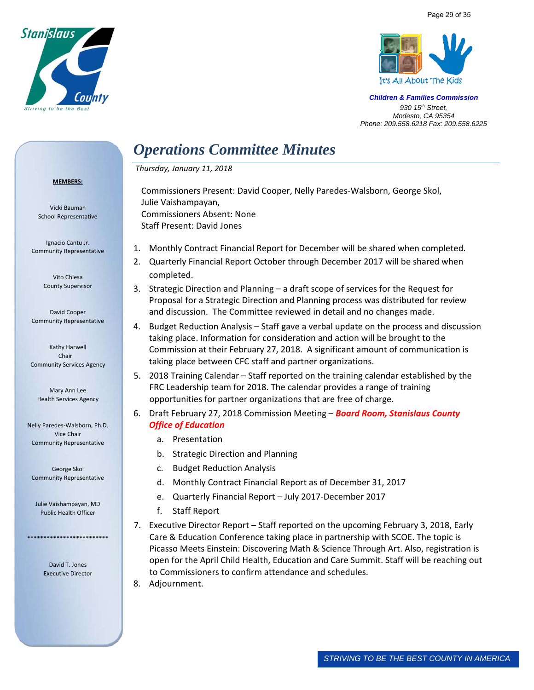



# *Operations Committee Minutes*

 *Thursday, January 11, 2018* 

Julie Vaishampayan,

Commissioners Absent: None Staff Present: David Jones

#### **MEMBERS:**

Vicki Bauman School Representative

Ignacio Cantu Jr. Community Representative

> Vito Chiesa County Supervisor

David Cooper Community Representative

Kathy Harwell Chair Community Services Agency

Mary Ann Lee Health Services Agency

Nelly Paredes‐Walsborn, Ph.D. Vice Chair Community Representative

George Skol Community Representative

Julie Vaishampayan, MD Public Health Officer

\*\*\*\*\*\*\*\*\*\*\*\*\*\*\*\*\*\*\*\*\*\*\*\*\*

David T. Jones Executive Director 1. Monthly Contract Financial Report for December will be shared when completed.

Commissioners Present: David Cooper, Nelly Paredes‐Walsborn, George Skol,

- 2. Quarterly Financial Report October through December 2017 will be shared when completed.
- 3. Strategic Direction and Planning a draft scope of services for the Request for Proposal for a Strategic Direction and Planning process was distributed for review and discussion. The Committee reviewed in detail and no changes made.
- 4. Budget Reduction Analysis Staff gave a verbal update on the process and discussion taking place. Information for consideration and action will be brought to the Commission at their February 27, 2018. A significant amount of communication is taking place between CFC staff and partner organizations.
- 5. 2018 Training Calendar Staff reported on the training calendar established by the FRC Leadership team for 2018. The calendar provides a range of training opportunities for partner organizations that are free of charge.
- 6. Draft February 27, 2018 Commission Meeting *Board Room, Stanislaus County Office of Education*
	- a. Presentation
	- b. Strategic Direction and Planning
	- c. Budget Reduction Analysis
	- d. Monthly Contract Financial Report as of December 31, 2017
	- e. Quarterly Financial Report July 2017‐December 2017
	- f. Staff Report
- 7. Executive Director Report Staff reported on the upcoming February 3, 2018, Early Care & Education Conference taking place in partnership with SCOE. The topic is Picasso Meets Einstein: Discovering Math & Science Through Art. Also, registration is open for the April Child Health, Education and Care Summit. Staff will be reaching out to Commissioners to confirm attendance and schedules.
- 8. Adjournment.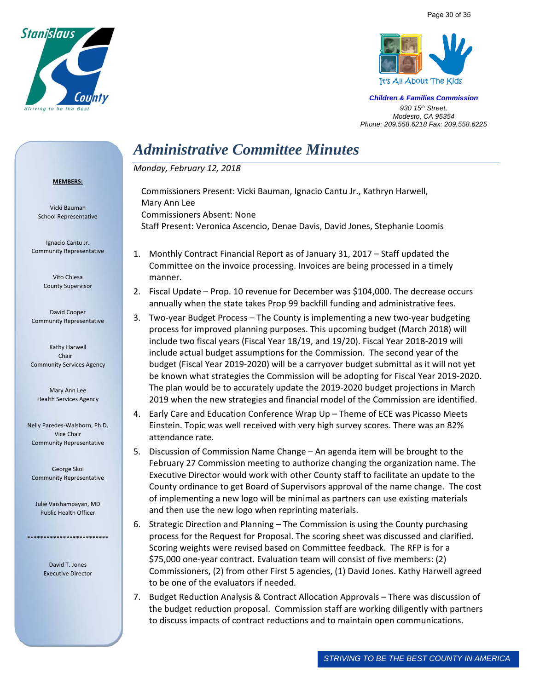



# *Administrative Committee Minutes*

*Monday, February 12, 2018* 

Commissioners Absent: None

Mary Ann Lee

#### **MEMBERS:**

Vicki Bauman School Representative

Ignacio Cantu Jr. Community Representative

> Vito Chiesa County Supervisor

David Cooper Community Representative

Kathy Harwell Chair Community Services Agency

Mary Ann Lee Health Services Agency

Nelly Paredes‐Walsborn, Ph.D. Vice Chair Community Representative

George Skol Community Representative

Julie Vaishampayan, MD Public Health Officer

\*\*\*\*\*\*\*\*\*\*\*\*\*\*\*\*\*\*\*\*\*\*\*\*\*

David T. Jones Executive Director 1. Monthly Contract Financial Report as of January 31, 2017 – Staff updated the Committee on the invoice processing. Invoices are being processed in a timely manner.

Staff Present: Veronica Ascencio, Denae Davis, David Jones, Stephanie Loomis

Commissioners Present: Vicki Bauman, Ignacio Cantu Jr., Kathryn Harwell,

- 2. Fiscal Update Prop. 10 revenue for December was \$104,000. The decrease occurs annually when the state takes Prop 99 backfill funding and administrative fees.
- 3. Two‐year Budget Process The County is implementing a new two‐year budgeting process for improved planning purposes. This upcoming budget (March 2018) will include two fiscal years (Fiscal Year 18/19, and 19/20). Fiscal Year 2018‐2019 will include actual budget assumptions for the Commission. The second year of the budget (Fiscal Year 2019‐2020) will be a carryover budget submittal as it will not yet be known what strategies the Commission will be adopting for Fiscal Year 2019‐2020. The plan would be to accurately update the 2019‐2020 budget projections in March 2019 when the new strategies and financial model of the Commission are identified.
- 4. Early Care and Education Conference Wrap Up Theme of ECE was Picasso Meets Einstein. Topic was well received with very high survey scores. There was an 82% attendance rate.
- 5. Discussion of Commission Name Change An agenda item will be brought to the February 27 Commission meeting to authorize changing the organization name. The Executive Director would work with other County staff to facilitate an update to the County ordinance to get Board of Supervisors approval of the name change. The cost of implementing a new logo will be minimal as partners can use existing materials and then use the new logo when reprinting materials.
- 6. Strategic Direction and Planning The Commission is using the County purchasing process for the Request for Proposal. The scoring sheet was discussed and clarified. Scoring weights were revised based on Committee feedback. The RFP is for a \$75,000 one‐year contract. Evaluation team will consist of five members: (2) Commissioners, (2) from other First 5 agencies, (1) David Jones. Kathy Harwell agreed to be one of the evaluators if needed.
- 7. Budget Reduction Analysis & Contract Allocation Approvals There was discussion of the budget reduction proposal. Commission staff are working diligently with partners to discuss impacts of contract reductions and to maintain open communications.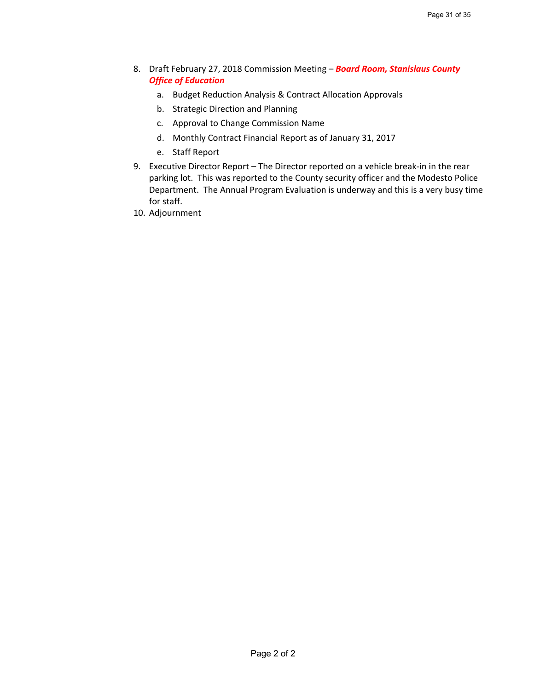- 8. Draft February 27, 2018 Commission Meeting *Board Room, Stanislaus County Office of Education*
	- a. Budget Reduction Analysis & Contract Allocation Approvals
	- b. Strategic Direction and Planning
	- c. Approval to Change Commission Name
	- d. Monthly Contract Financial Report as of January 31, 2017
	- e. Staff Report
- 9. Executive Director Report The Director reported on a vehicle break-in in the rear parking lot. This was reported to the County security officer and the Modesto Police Department. The Annual Program Evaluation is underway and this is a very busy time for staff.
- 10. Adjournment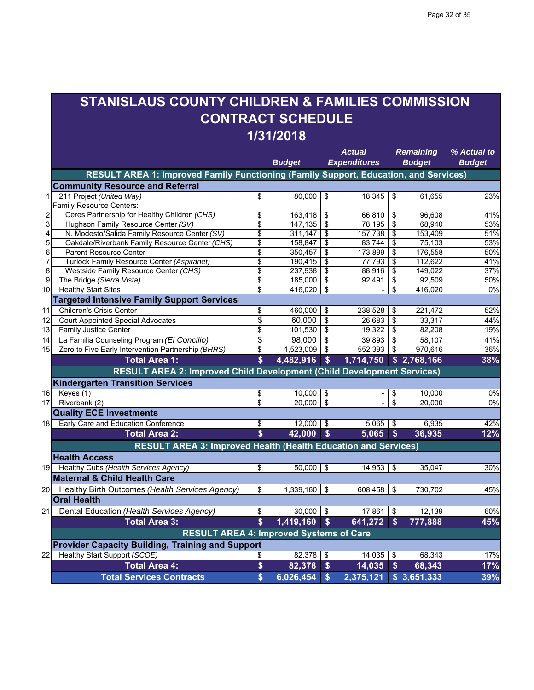## **STANISLAUS COUNTY CHILDREN & FAMILIES COMMISSION CONTRACT SCHEDULE 1/31/2018**

|    |                                                                                      |                    | <b>Budget</b> |                           | Actual<br><b>Expenditures</b> |                           | <b>Remaining</b><br><b>Budget</b> | % Actual to<br><b>Budget</b> |
|----|--------------------------------------------------------------------------------------|--------------------|---------------|---------------------------|-------------------------------|---------------------------|-----------------------------------|------------------------------|
|    | RESULT AREA 1: Improved Family Functioning (Family Support, Education, and Services) |                    |               |                           |                               |                           |                                   |                              |
|    | <b>Community Resource and Referral</b>                                               |                    |               |                           |                               |                           |                                   |                              |
| 1  | 211 Project (United Way)                                                             | \$                 | 80,000        | \$                        | 18,345                        | \$                        | 61,655                            | 23%                          |
|    | Family Resource Centers:                                                             |                    |               |                           |                               |                           |                                   |                              |
|    | Ceres Partnership for Healthy Children (CHS)                                         | \$                 | 163,418       | \$                        | 66,810                        | \$                        | 96,608                            | 41%                          |
| 3  | Hughson Family Resource Center (SV)                                                  | \$                 | 147,135       | \$                        | 78,195                        | \$                        | 68.940                            | 53%                          |
| 4  | N. Modesto/Salida Family Resource Center (SV)                                        | \$                 | 311,147       | \$                        | 157,738                       | \$                        | 153,409                           | 51%                          |
| 5  | Oakdale/Riverbank Family Resource Center (CHS)                                       | \$                 | 158,847       | \$                        | 83,744                        | \$                        | 75,103                            | 53%                          |
| 6  | <b>Parent Resource Center</b>                                                        | \$                 | 350,457       | \$                        | 173,899                       | \$                        | 176,558                           | 50%                          |
| 7  | Turlock Family Resource Center (Aspiranet)                                           | \$                 | 190,415       | \$                        | 77,793                        | \$                        | 112,622                           | 41%                          |
| 8  | Westside Family Resource Center (CHS)                                                | \$                 | 237,938       | \$                        | 88,916                        | \$                        | 149,022                           | 37%                          |
| 9  | The Bridge (Sierra Vista)                                                            | \$                 | 185,000       | \$                        | 92,491                        | \$                        | 92,509                            | 50%                          |
| 10 | <b>Healthy Start Sites</b>                                                           | \$                 | 416,020       | \$                        |                               | \$                        | 416,020                           | $\overline{0\%}$             |
|    | <b>Targeted Intensive Family Support Services</b>                                    |                    |               |                           |                               |                           |                                   |                              |
| 11 | <b>Children's Crisis Center</b>                                                      | \$                 | 460,000       | \$                        | 238,528                       | \$                        | 221,472                           | 52%                          |
| 12 | <b>Court Appointed Special Advocates</b>                                             | \$                 | 60,000        | \$                        | 26,683                        | \$                        | 33,317                            | 44%                          |
| 13 | <b>Family Justice Center</b>                                                         | \$                 | 101,530       | \$                        | 19,322                        | \$                        | 82,208                            | 19%                          |
| 14 | La Familia Counseling Program (El Concilio)                                          | \$                 | 98,000        | \$                        | 39,893                        | \$                        | 58,107                            | 41%                          |
| 15 | Zero to Five Early Intervention Partnership (BHRS)                                   | \$                 | 1,523,009     | \$                        | 552,393                       | \$                        | 970,616                           | 36%                          |
|    | <b>Total Area 1:</b>                                                                 | \$                 | 4,482,916     | \$                        | 1,714,750                     |                           | \$2,768,166                       | 38%                          |
|    | RESULT AREA 2: Improved Child Development (Child Development Services)               |                    |               |                           |                               |                           |                                   |                              |
|    | <b>Kindergarten Transition Services</b>                                              |                    |               |                           |                               |                           |                                   |                              |
| 16 | Keyes (1)                                                                            | \$                 | 10,000        | \$                        | $\sim$                        | \$                        | 10.000                            | 0%                           |
| 17 | Riverbank (2)                                                                        | \$                 | 20.000        | \$                        | ÷,                            | \$                        | 20.000                            | 0%                           |
|    | <b>Quality ECE Investments</b>                                                       |                    |               |                           |                               |                           |                                   |                              |
| 18 | Early Care and Education Conference                                                  | \$                 | 12,000        | \$                        | 5,065                         | -\$                       | 6,935                             | 42%                          |
|    | <b>Total Area 2:</b>                                                                 | \$                 | 42,000        | $\boldsymbol{\mathsf{s}}$ | 5,065                         | $\boldsymbol{\mathsf{s}}$ | 36,935                            | 12%                          |
|    | <b>RESULT AREA 3: Improved Health (Health Education and Services)</b>                |                    |               |                           |                               |                           |                                   |                              |
|    | Health Access                                                                        |                    |               |                           |                               |                           |                                   |                              |
| 19 | Healthy Cubs (Health Services Agency)                                                | \$                 | 50,000        | \$                        | 14,953                        | \$                        | 35,047                            | 30%                          |
|    | <b>Maternal &amp; Child Health Care</b>                                              |                    |               |                           |                               |                           |                                   |                              |
| 20 | Healthy Birth Outcomes (Health Services Agency)                                      | \$                 | 1,339,160     | \$                        | 608,458                       | \$                        | 730,702                           | 45%                          |
|    | <b>Oral Health</b>                                                                   |                    |               |                           |                               |                           |                                   |                              |
| 21 | Dental Education (Health Services Agency)                                            | \$                 | 30,000        | $\sqrt[6]{\frac{1}{2}}$   | 17,861                        | $\sqrt[6]{\frac{1}{2}}$   | 12,139                            | 60%                          |
|    | <b>Total Area 3:</b>                                                                 | $\mathbf{\hat{s}}$ | 1,419,160     | $\sqrt[6]{\frac{1}{2}}$   | 641,272                       | <b>S</b>                  | 777,888                           | 45%                          |
|    | <b>RESULT AREA 4: Improved Systems of Care</b>                                       |                    |               |                           |                               |                           |                                   |                              |
|    | <b>Provider Capacity Building, Training and Support</b>                              |                    |               |                           |                               |                           |                                   |                              |
| 22 | Healthy Start Support (SCOE)                                                         | \$                 | 82,378        | \$                        | 14,035                        | \$                        | 68,343                            | 17%                          |
|    | <b>Total Area 4:</b>                                                                 | \$                 | 82,378        | \$                        | 14,035                        | $\boldsymbol{\$}$         | 68,343                            | 17%                          |
|    | <b>Total Services Contracts</b>                                                      | $\boldsymbol{\$}$  | 6,026,454     | $\mathbf{s}$              | $\overline{2,375,121}$        |                           | \$3,651,333                       | 39%                          |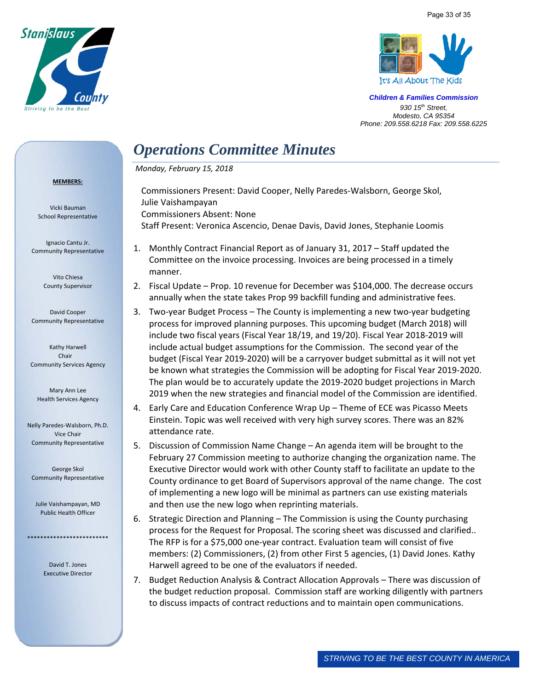



# *Operations Committee Minutes*

 *Monday, February 15, 2018* 

#### **MEMBERS:**

Vicki Bauman School Representative

Ignacio Cantu Jr. Community Representative

> Vito Chiesa County Supervisor

David Cooper Community Representative

Kathy Harwell Chair Community Services Agency

Mary Ann Lee Health Services Agency

Nelly Paredes‐Walsborn, Ph.D. Vice Chair Community Representative

George Skol Community Representative

Julie Vaishampayan, MD Public Health Officer

\*\*\*\*\*\*\*\*\*\*\*\*\*\*\*\*\*\*\*\*\*\*\*\*\*

David T. Jones Executive Director Commissioners Present: David Cooper, Nelly Paredes‐Walsborn, George Skol, Julie Vaishampayan Commissioners Absent: None Staff Present: Veronica Ascencio, Denae Davis, David Jones, Stephanie Loomis

- 1. Monthly Contract Financial Report as of January 31, 2017 Staff updated the Committee on the invoice processing. Invoices are being processed in a timely manner.
- 2. Fiscal Update Prop. 10 revenue for December was \$104,000. The decrease occurs annually when the state takes Prop 99 backfill funding and administrative fees.
- 3. Two‐year Budget Process The County is implementing a new two‐year budgeting process for improved planning purposes. This upcoming budget (March 2018) will include two fiscal years (Fiscal Year 18/19, and 19/20). Fiscal Year 2018‐2019 will include actual budget assumptions for the Commission. The second year of the budget (Fiscal Year 2019‐2020) will be a carryover budget submittal as it will not yet be known what strategies the Commission will be adopting for Fiscal Year 2019‐2020. The plan would be to accurately update the 2019‐2020 budget projections in March 2019 when the new strategies and financial model of the Commission are identified.
- 4. Early Care and Education Conference Wrap Up Theme of ECE was Picasso Meets Einstein. Topic was well received with very high survey scores. There was an 82% attendance rate.
- 5. Discussion of Commission Name Change An agenda item will be brought to the February 27 Commission meeting to authorize changing the organization name. The Executive Director would work with other County staff to facilitate an update to the County ordinance to get Board of Supervisors approval of the name change. The cost of implementing a new logo will be minimal as partners can use existing materials and then use the new logo when reprinting materials.
- 6. Strategic Direction and Planning The Commission is using the County purchasing process for the Request for Proposal. The scoring sheet was discussed and clarified.. The RFP is for a \$75,000 one‐year contract. Evaluation team will consist of five members: (2) Commissioners, (2) from other First 5 agencies, (1) David Jones. Kathy Harwell agreed to be one of the evaluators if needed.
- 7. Budget Reduction Analysis & Contract Allocation Approvals There was discussion of the budget reduction proposal. Commission staff are working diligently with partners to discuss impacts of contract reductions and to maintain open communications.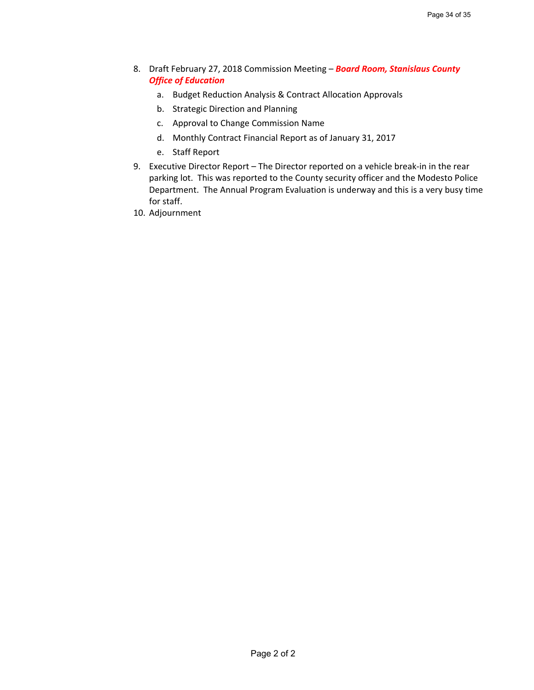- 8. Draft February 27, 2018 Commission Meeting *Board Room, Stanislaus County Office of Education*
	- a. Budget Reduction Analysis & Contract Allocation Approvals
	- b. Strategic Direction and Planning
	- c. Approval to Change Commission Name
	- d. Monthly Contract Financial Report as of January 31, 2017
	- e. Staff Report
- 9. Executive Director Report The Director reported on a vehicle break-in in the rear parking lot. This was reported to the County security officer and the Modesto Police Department. The Annual Program Evaluation is underway and this is a very busy time for staff.
- 10. Adjournment